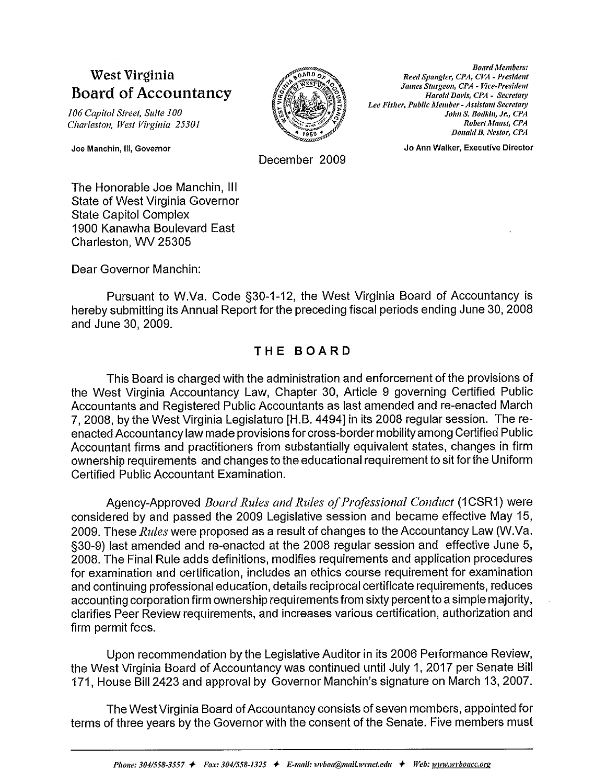# West Virginia **Board of Accountancy**

106 Capitol Street, Suite 100 Charleston, West Virginia 25301

Joe Manchin, III, Governor



**Board Members:** Reed Spangler, CPA, CVA - President James Sturgeon, CPA - Vice-President Harold Davis, CPA - Secretary Lee Fisher, Public Member - Assistant Secretary John S. Bodkin, Jr., CPA Robert Maust, CPA Donald B. Nestor, CPA

Jo Ann Walker, Executive Director

December 2009

The Honorable Joe Manchin, III **State of West Virginia Governor State Capitol Complex** 1900 Kanawha Boulevard East Charleston. WV 25305

Dear Governor Manchin:

Pursuant to W.Va. Code §30-1-12, the West Virginia Board of Accountancy is hereby submitting its Annual Report for the preceding fiscal periods ending June 30, 2008 and June 30, 2009.

# THE BOARD

This Board is charged with the administration and enforcement of the provisions of the West Virginia Accountancy Law, Chapter 30, Article 9 governing Certified Public Accountants and Registered Public Accountants as last amended and re-enacted March 7, 2008, by the West Virginia Legislature [H.B. 4494] in its 2008 regular session. The reenacted Accountancy law made provisions for cross-border mobility among Certified Public Accountant firms and practitioners from substantially equivalent states, changes in firm ownership requirements and changes to the educational requirement to sit for the Uniform Certified Public Accountant Examination.

Agency-Approved Board Rules and Rules of Professional Conduct (1CSR1) were considered by and passed the 2009 Legislative session and became effective May 15, 2009. These Rules were proposed as a result of changes to the Accountancy Law (W.Va. §30-9) last amended and re-enacted at the 2008 regular session and effective June 5, 2008. The Final Rule adds definitions, modifies requirements and application procedures for examination and certification, includes an ethics course requirement for examination and continuing professional education, details reciprocal certificate requirements, reduces accounting corporation firm ownership requirements from sixty percent to a simple majority, clarifies Peer Review requirements, and increases various certification, authorization and firm permit fees.

Upon recommendation by the Legislative Auditor in its 2006 Performance Review, the West Virginia Board of Accountancy was continued until July 1, 2017 per Senate Bill 171, House Bill 2423 and approval by Governor Manchin's signature on March 13, 2007.

The West Virginia Board of Accountancy consists of seven members, appointed for terms of three years by the Governor with the consent of the Senate. Five members must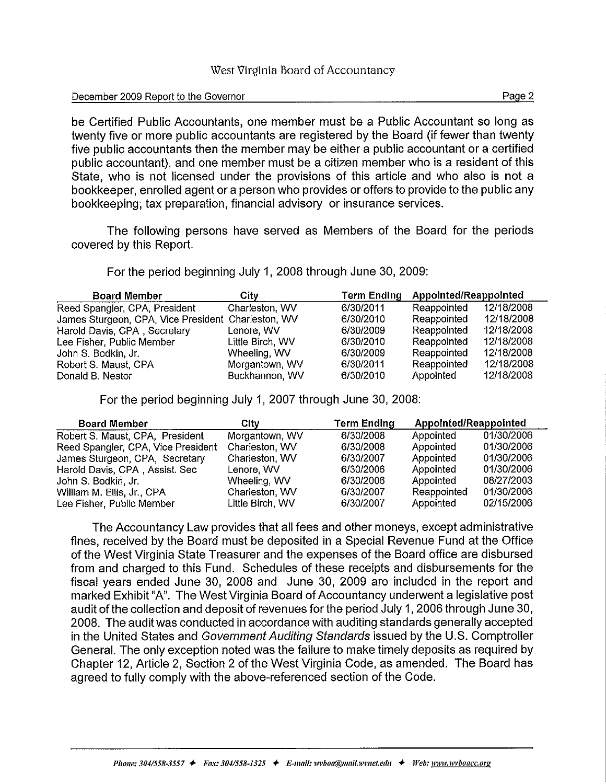# December 2009 Report to the Governor

be Certified Public Accountants, one member must be a Public Accountant so long as twenty five or more public accountants are registered by the Board (if fewer than twenty five public accountants then the member may be either a public accountant or a certified public accountant), and one member must be a citizen member who is a resident of this State, who is not licensed under the provisions of this article and who also is not a bookkeeper, enrolled agent or a person who provides or offers to provide to the public any bookkeeping, tax preparation, financial advisory or insurance services.

The following persons have served as Members of the Board for the periods covered by this Report.

For the period beginning July 1, 2008 through June 30, 2009:

| <b>Board Member</b>                                | City             | <b>Term Ending</b> | Appointed/Reappointed |            |  |
|----------------------------------------------------|------------------|--------------------|-----------------------|------------|--|
| Reed Spangler, CPA, President                      | Charleston, WV   | 6/30/2011          | Reappointed           | 12/18/2008 |  |
| James Sturgeon, CPA, Vice President Charleston, WV |                  | 6/30/2010          | Reappointed           | 12/18/2008 |  |
| Harold Davis, CPA, Secretary                       | Lenore, WV       | 6/30/2009          | Reappointed           | 12/18/2008 |  |
| Lee Fisher, Public Member                          | Little Birch, WV | 6/30/2010          | Reappointed           | 12/18/2008 |  |
| John S. Bodkin, Jr.                                | Wheeling, WV     | 6/30/2009          | Reappointed           | 12/18/2008 |  |
| Robert S. Maust, CPA                               | Morgantown, WV   | 6/30/2011          | Reappointed           | 12/18/2008 |  |
| Donald B. Nestor                                   | Buckhannon, WV   | 6/30/2010          | Appointed             | 12/18/2008 |  |

For the period beginning July 1, 2007 through June 30, 2008:

| <b>Board Member</b>                | City             | <b>Term Ending</b> | Appointed/Reappointed |            |  |
|------------------------------------|------------------|--------------------|-----------------------|------------|--|
| Robert S. Maust, CPA, President    | Morgantown, WV   | 6/30/2008          | Appointed             | 01/30/2006 |  |
| Reed Spangler, CPA, Vice President | Charleston, WV   | 6/30/2008          | Appointed             | 01/30/2006 |  |
| James Sturgeon, CPA, Secretary     | Charleston, WV   | 6/30/2007          | Appointed             | 01/30/2006 |  |
| Harold Davis, CPA, Assist. Sec     | Lenore, WV       | 6/30/2006          | Appointed             | 01/30/2006 |  |
| John S. Bodkin, Jr.                | Wheeling, WV     | 6/30/2006          | Appointed             | 08/27/2003 |  |
| William M. Ellis, Jr., CPA         | Charleston, WV   | 6/30/2007          | Reappointed           | 01/30/2006 |  |
| Lee Fisher, Public Member          | Little Birch, WV | 6/30/2007          | Appointed             | 02/15/2006 |  |

The Accountancy Law provides that all fees and other moneys, except administrative fines, received by the Board must be deposited in a Special Revenue Fund at the Office of the West Virginia State Treasurer and the expenses of the Board office are disbursed from and charged to this Fund. Schedules of these receipts and disbursements for the fiscal years ended June 30, 2008 and June 30, 2009 are included in the report and marked Exhibit "A". The West Virginia Board of Accountancy underwent a legislative post audit of the collection and deposit of revenues for the period July 1, 2006 through June 30, 2008. The audit was conducted in accordance with auditing standards generally accepted in the United States and Government Auditing Standards issued by the U.S. Comptroller General. The only exception noted was the failure to make timely deposits as required by Chapter 12, Article 2, Section 2 of the West Virginia Code, as amended. The Board has agreed to fully comply with the above-referenced section of the Code.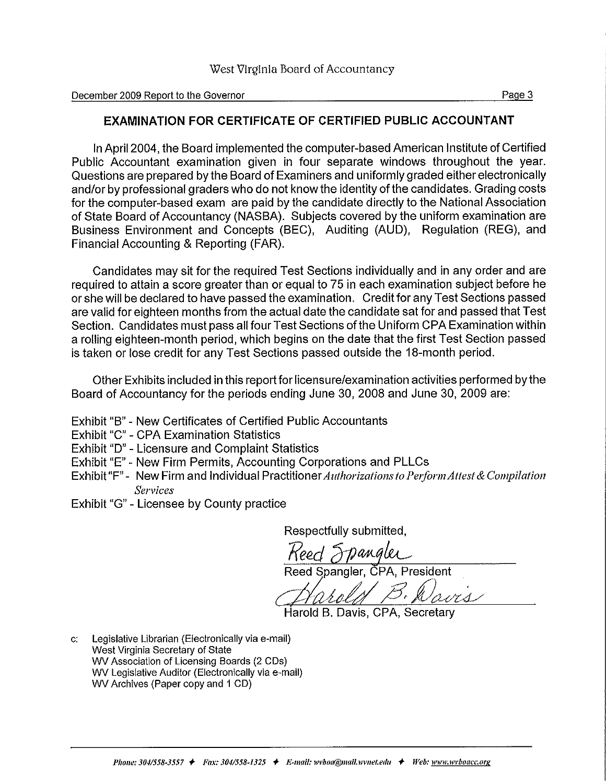December 2009 Report to the Governor

# **EXAMINATION FOR CERTIFICATE OF CERTIFIED PUBLIC ACCOUNTANT**

In April 2004, the Board implemented the computer-based American Institute of Certified Public Accountant examination given in four separate windows throughout the year. Questions are prepared by the Board of Examiners and uniformly graded either electronically and/or by professional graders who do not know the identity of the candidates. Grading costs for the computer-based exam are paid by the candidate directly to the National Association of State Board of Accountancy (NASBA). Subjects covered by the uniform examination are Business Environment and Concepts (BEC). Auditing (AUD). Regulation (REG), and Financial Accounting & Reporting (FAR).

Candidates may sit for the required Test Sections individually and in any order and are required to attain a score greater than or equal to 75 in each examination subject before he or she will be declared to have passed the examination. Credit for any Test Sections passed are valid for eighteen months from the actual date the candidate sat for and passed that Test Section. Candidates must pass all four Test Sections of the Uniform CPA Examination within a rolling eighteen-month period, which begins on the date that the first Test Section passed is taken or lose credit for any Test Sections passed outside the 18-month period.

Other Exhibits included in this report for licensure/examination activities performed by the Board of Accountancy for the periods ending June 30, 2008 and June 30, 2009 are:

- Exhibit "B" New Certificates of Certified Public Accountants
- Exhibit "C" CPA Examination Statistics
- Exhibit "D" Licensure and Complaint Statistics
- Exhibit "E" New Firm Permits, Accounting Corporations and PLLCs
- Exhibit "F" New Firm and Individual Practitioner Authorizations to Perform Attest & Compilation **Services**
- Exhibit "G" Licensee by County practice

Respectfully submitted.

Keed Frangler Reed Spangler, CPA, President

Harold B. Davis, CPA, Secretary

Legislative Librarian (Electronically via e-mail)  $\mathbf{C}^*$ West Virginia Secretary of State WV Association of Licensing Boards (2 CDs) WV Legislative Auditor (Electronically via e-mail) WV Archives (Paper copy and 1 CD)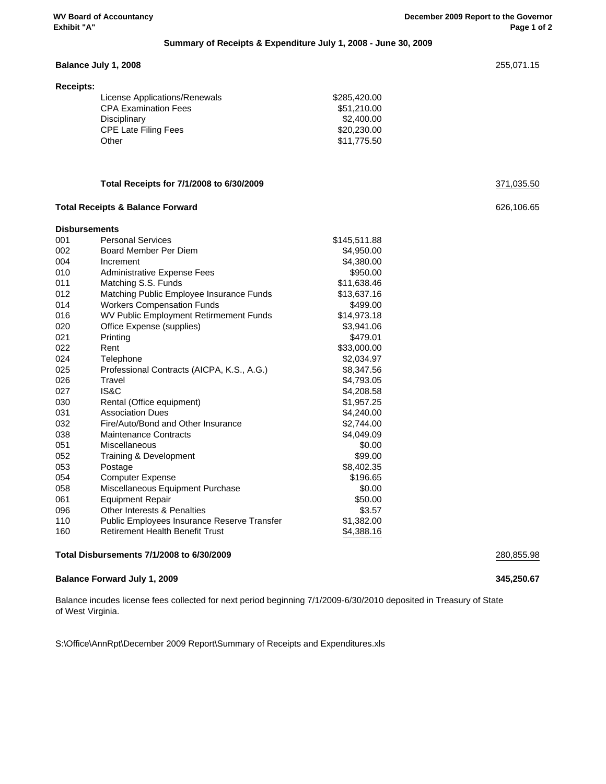## **Summary of Receipts & Expenditure July 1, 2008 - June 30, 2009**

|           | Balance July 1, 2008          |              | 255,071.15 |
|-----------|-------------------------------|--------------|------------|
| Receipts: |                               |              |            |
|           | License Applications/Renewals | \$285,420.00 |            |
|           | <b>CPA Examination Fees</b>   | \$51,210.00  |            |
|           | Disciplinary                  | \$2,400.00   |            |
|           | <b>CPE Late Filing Fees</b>   | \$20,230.00  |            |

Other \$11,775.50

# **Total Receipts for 7/1/2008 to 6/30/2009** 371,035.50

#### **Total Receipts & Balance Forward** 626,106.65

| <b>Disbursements</b> |                                               |              |
|----------------------|-----------------------------------------------|--------------|
| 001                  | <b>Personal Services</b>                      | \$145,511.88 |
| 002                  | Board Member Per Diem                         | \$4,950.00   |
| 004                  | Increment                                     | \$4,380.00   |
| 010                  | Administrative Expense Fees                   | \$950.00     |
| 011                  | Matching S.S. Funds                           | \$11,638.46  |
| 012                  | Matching Public Employee Insurance Funds      | \$13,637.16  |
| 014                  | <b>Workers Compensation Funds</b>             | \$499.00     |
| 016                  | <b>WV Public Employment Retirmement Funds</b> | \$14,973.18  |
| 020                  | Office Expense (supplies)                     | \$3,941.06   |
| 021                  | Printing                                      | \$479.01     |
| 022                  | Rent                                          | \$33,000.00  |
| 024                  | Telephone                                     | \$2,034.97   |
| 025                  | Professional Contracts (AICPA, K.S., A.G.)    | \$8,347.56   |
| 026                  | Travel                                        | \$4,793.05   |
| 027                  | IS&C                                          | \$4,208.58   |
| 030                  | Rental (Office equipment)                     | \$1.957.25   |
| 031                  | <b>Association Dues</b>                       | \$4,240.00   |
| 032                  | Fire/Auto/Bond and Other Insurance            | \$2,744.00   |
| 038                  | <b>Maintenance Contracts</b>                  | \$4,049.09   |
| 051                  | Miscellaneous                                 | \$0.00       |
| 052                  | Training & Development                        | \$99.00      |
| 053                  | Postage                                       | \$8,402.35   |
| 054                  | <b>Computer Expense</b>                       | \$196.65     |
| 058                  | Miscellaneous Equipment Purchase              | \$0.00       |
| 061                  | <b>Equipment Repair</b>                       | \$50.00      |
| 096                  | <b>Other Interests &amp; Penalties</b>        | \$3.57       |
| 110                  | Public Employees Insurance Reserve Transfer   | \$1,382.00   |
| 160                  | <b>Retirement Health Benefit Trust</b>        | \$4,388.16   |
|                      |                                               |              |

# **Total Disbursements 7/1/2008 to 6/30/2009** 280,855.98

#### **Balance Forward July 1, 2009 345,250.67**

Balance incudes license fees collected for next period beginning 7/1/2009-6/30/2010 deposited in Treasury of State of West Virginia.

S:\Office\AnnRpt\December 2009 Report\Summary of Receipts and Expenditures.xls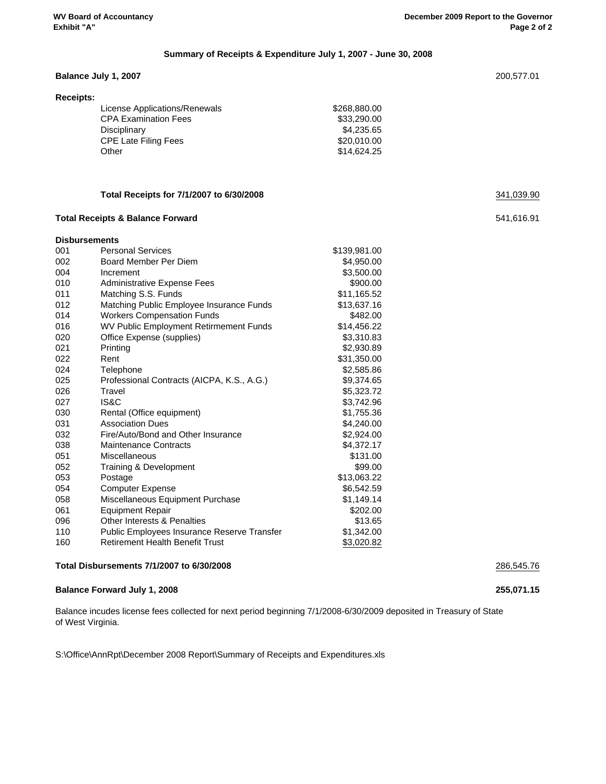### **Summary of Receipts & Expenditure July 1, 2007 - June 30, 2008**

#### **Balance July 1, 2007** 200,577.01

| Receipts:                     |              |
|-------------------------------|--------------|
| License Applications/Renewals | \$268,880.00 |
| <b>CPA Examination Fees</b>   | \$33,290,00  |
| Disciplinary                  | \$4.235.65   |
| <b>CPE Late Filing Fees</b>   | \$20,010,00  |
| Other                         | \$14,624.25  |

# **Total Receipts for 7/1/2007 to 6/30/2008** 341,039.90

#### **Total Receipts & Balance Forward** 541,616.91

| <b>Disbursements</b> |                                                    |              |
|----------------------|----------------------------------------------------|--------------|
| 001                  | <b>Personal Services</b>                           | \$139,981.00 |
| 002                  | Board Member Per Diem                              | \$4,950.00   |
| 004                  | Increment                                          | \$3,500.00   |
| 010                  | <b>Administrative Expense Fees</b>                 | \$900.00     |
| 011                  | Matching S.S. Funds                                | \$11,165.52  |
| 012                  | Matching Public Employee Insurance Funds           | \$13,637.16  |
| 014                  | <b>Workers Compensation Funds</b>                  | \$482.00     |
| 016                  | WV Public Employment Retirmement Funds             | \$14,456.22  |
| 020                  | Office Expense (supplies)                          | \$3,310.83   |
| 021                  | Printing                                           | \$2,930.89   |
| 022                  | Rent                                               | \$31,350.00  |
| 024                  | Telephone                                          | \$2,585.86   |
| 025                  | Professional Contracts (AICPA, K.S., A.G.)         | \$9,374.65   |
| 026                  | Travel                                             | \$5,323.72   |
| 027                  | IS&C                                               | \$3,742.96   |
| 030                  | Rental (Office equipment)                          | \$1,755.36   |
| 031                  | <b>Association Dues</b>                            | \$4,240.00   |
| 032                  | Fire/Auto/Bond and Other Insurance                 | \$2,924.00   |
| 038                  | <b>Maintenance Contracts</b>                       | \$4,372.17   |
| 051                  | Miscellaneous                                      | \$131.00     |
| 052                  | Training & Development                             | \$99.00      |
| 053                  | Postage                                            | \$13,063.22  |
| 054                  | <b>Computer Expense</b>                            | \$6,542.59   |
| 058                  | Miscellaneous Equipment Purchase                   | \$1,149.14   |
| 061                  | <b>Equipment Repair</b>                            | \$202.00     |
| 096                  | Other Interests & Penalties                        | \$13.65      |
| 110                  | <b>Public Employees Insurance Reserve Transfer</b> | \$1,342.00   |
| 160                  | <b>Retirement Health Benefit Trust</b>             | \$3,020.82   |

### **Total Disbursements 7/1/2007 to 6/30/2008** 286,545.76

**Balance Forward July 1, 2008 255,071.15**

Balance incudes license fees collected for next period beginning 7/1/2008-6/30/2009 deposited in Treasury of State of West Virginia.

S:\Office\AnnRpt\December 2008 Report\Summary of Receipts and Expenditures.xls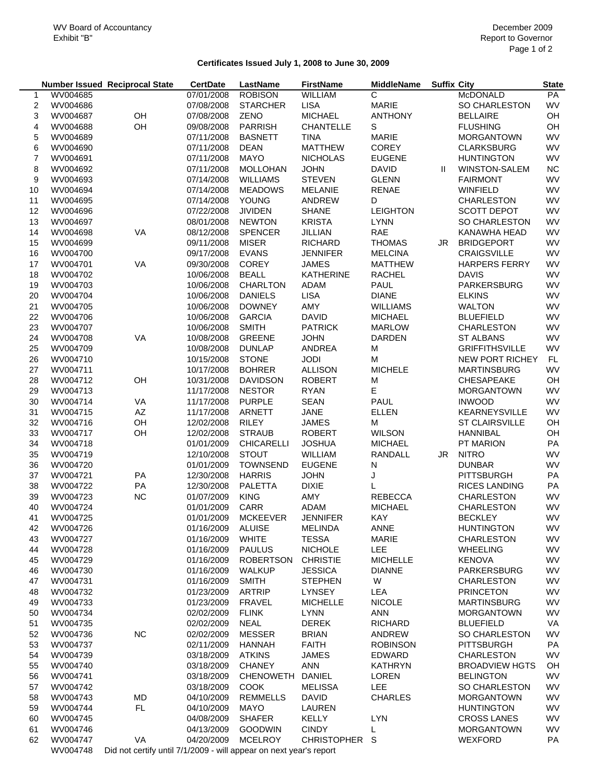# **Certificates Issued July 1, 2008 to June 30, 2009**

|    |                 | <b>Number Issued Reciprocal State</b>                             | <b>CertDate</b> | LastName         | <b>FirstName</b>   | <b>MiddleName</b> | <b>Suffix City</b> |                        | <b>State</b> |
|----|-----------------|-------------------------------------------------------------------|-----------------|------------------|--------------------|-------------------|--------------------|------------------------|--------------|
| 1  | WV004685        |                                                                   | 07/01/2008      | <b>ROBISON</b>   | WILLIAM            | С                 |                    | McDONALD               | PA           |
| 2  | WV004686        |                                                                   | 07/08/2008      | <b>STARCHER</b>  | <b>LISA</b>        | <b>MARIE</b>      |                    | SO CHARLESTON          | WV           |
| 3  | WV004687        | OH                                                                | 07/08/2008      | <b>ZENO</b>      | <b>MICHAEL</b>     | <b>ANTHONY</b>    |                    | <b>BELLAIRE</b>        | OH           |
| 4  | WV004688        | OH                                                                | 09/08/2008      | PARRISH          | CHANTELLE          | S                 |                    | <b>FLUSHING</b>        | OH           |
| 5  | WV004689        |                                                                   | 07/11/2008      | <b>BASNETT</b>   | <b>TINA</b>        | <b>MARIE</b>      |                    | <b>MORGANTOWN</b>      | WV           |
| 6  | WV004690        |                                                                   | 07/11/2008      | <b>DEAN</b>      | <b>MATTHEW</b>     | <b>COREY</b>      |                    | <b>CLARKSBURG</b>      | WV           |
| 7  | WV004691        |                                                                   | 07/11/2008      | <b>MAYO</b>      | <b>NICHOLAS</b>    | <b>EUGENE</b>     |                    | <b>HUNTINGTON</b>      | WV           |
| 8  | WV004692        |                                                                   | 07/11/2008      | MOLLOHAN         | <b>JOHN</b>        | <b>DAVID</b>      | $\mathbf{I}$       | WINSTON-SALEM          | NC           |
| 9  | WV004693        |                                                                   | 07/14/2008      | <b>WILLIAMS</b>  | <b>STEVEN</b>      | <b>GLENN</b>      |                    | <b>FAIRMONT</b>        | WV           |
| 10 | WV004694        |                                                                   | 07/14/2008      | <b>MEADOWS</b>   | <b>MELANIE</b>     | <b>RENAE</b>      |                    | <b>WINFIELD</b>        | WV           |
| 11 | WV004695        |                                                                   | 07/14/2008      | <b>YOUNG</b>     | ANDREW             | D                 |                    | <b>CHARLESTON</b>      | WV           |
| 12 | WV004696        |                                                                   | 07/22/2008      | <b>JIVIDEN</b>   | <b>SHANE</b>       | <b>LEIGHTON</b>   |                    | <b>SCOTT DEPOT</b>     | WV           |
| 13 | WV004697        |                                                                   | 08/01/2008      | <b>NEWTON</b>    | <b>KRISTA</b>      | <b>LYNN</b>       |                    | <b>SO CHARLESTON</b>   | WV           |
| 14 | WV004698        | VA                                                                | 08/12/2008      | <b>SPENCER</b>   | JILLIAN            | RAE               |                    | KANAWHA HEAD           | WV           |
| 15 | WV004699        |                                                                   | 09/11/2008      | <b>MISER</b>     | <b>RICHARD</b>     | <b>THOMAS</b>     | JR                 | <b>BRIDGEPORT</b>      | WV           |
| 16 | WV004700        |                                                                   | 09/17/2008      | <b>EVANS</b>     | <b>JENNIFER</b>    | <b>MELCINA</b>    |                    | CRAIGSVILLE            | WV           |
| 17 | WV004701        | VA                                                                | 09/30/2008      | COREY            | <b>JAMES</b>       | <b>MATTHEW</b>    |                    | <b>HARPERS FERRY</b>   | WV           |
| 18 | WV004702        |                                                                   | 10/06/2008      | <b>BEALL</b>     | <b>KATHERINE</b>   | <b>RACHEL</b>     |                    | <b>DAVIS</b>           | WV           |
| 19 | WV004703        |                                                                   | 10/06/2008      | CHARLTON         | <b>ADAM</b>        | PAUL              |                    | PARKERSBURG            | WV           |
| 20 | WV004704        |                                                                   | 10/06/2008      | <b>DANIELS</b>   | <b>LISA</b>        | <b>DIANE</b>      |                    | <b>ELKINS</b>          | WV           |
| 21 | WV004705        |                                                                   | 10/06/2008      | <b>DOWNEY</b>    | AMY                | <b>WILLIAMS</b>   |                    | <b>WALTON</b>          | <b>WV</b>    |
| 22 | WV004706        |                                                                   | 10/06/2008      | <b>GARCIA</b>    | <b>DAVID</b>       | <b>MICHAEL</b>    |                    | <b>BLUEFIELD</b>       | WV           |
| 23 | WV004707        |                                                                   | 10/06/2008      | <b>SMITH</b>     | <b>PATRICK</b>     | <b>MARLOW</b>     |                    | <b>CHARLESTON</b>      | WV           |
| 24 | WV004708        | VA                                                                | 10/08/2008      | <b>GREENE</b>    | <b>JOHN</b>        | DARDEN            |                    | <b>ST ALBANS</b>       | WV           |
| 25 | WV004709        |                                                                   | 10/08/2008      | <b>DUNLAP</b>    | ANDREA             | М                 |                    | <b>GRIFFITHSVILLE</b>  | WV           |
| 26 | WV004710        |                                                                   | 10/15/2008      | <b>STONE</b>     | <b>JODI</b>        | М                 |                    | <b>NEW PORT RICHEY</b> | FL.          |
| 27 | WV004711        |                                                                   | 10/17/2008      | <b>BOHRER</b>    | <b>ALLISON</b>     | <b>MICHELE</b>    |                    | <b>MARTINSBURG</b>     | WV           |
| 28 | WV004712        | OH                                                                | 10/31/2008      | <b>DAVIDSON</b>  | <b>ROBERT</b>      | М                 |                    | <b>CHESAPEAKE</b>      | OH           |
| 29 | WV004713        |                                                                   | 11/17/2008      | <b>NESTOR</b>    | <b>RYAN</b>        | Е                 |                    | <b>MORGANTOWN</b>      | WV           |
| 30 | WV004714        | VA                                                                | 11/17/2008      | <b>PURPLE</b>    | <b>SEAN</b>        | PAUL              |                    | <b>INWOOD</b>          | WV           |
| 31 | WV004715        | $\mathsf{A}\mathsf{Z}$                                            | 11/17/2008      | ARNETT           | <b>JANE</b>        | <b>ELLEN</b>      |                    | KEARNEYSVILLE          | WV           |
| 32 | WV004716        | OH                                                                | 12/02/2008      | <b>RILEY</b>     | <b>JAMES</b>       | М                 |                    | <b>ST CLAIRSVILLE</b>  | OH           |
| 33 | WV004717        | OH                                                                | 12/02/2008      | <b>STRAUB</b>    | <b>ROBERT</b>      | <b>WILSON</b>     |                    | <b>HANNIBAL</b>        | OH           |
| 34 | WV004718        |                                                                   | 01/01/2009      | CHICARELLI       | <b>JOSHUA</b>      | <b>MICHAEL</b>    |                    | PT MARION              | PA           |
| 35 | WV004719        |                                                                   | 12/10/2008      | <b>STOUT</b>     | WILLIAM            | RANDALL           | JR                 | <b>NITRO</b>           | WV           |
| 36 | WV004720        |                                                                   | 01/01/2009      | <b>TOWNSEND</b>  | <b>EUGENE</b>      | N                 |                    | <b>DUNBAR</b>          | WV           |
| 37 | WV004721        | PA                                                                | 12/30/2008      | <b>HARRIS</b>    | <b>JOHN</b>        | J                 |                    | <b>PITTSBURGH</b>      | PA           |
| 38 | WV004722        | PA                                                                | 12/30/2008      | PALETTA          | <b>DIXIE</b>       | L                 |                    | <b>RICES LANDING</b>   | PA           |
| 39 | WV004723        | <b>NC</b>                                                         | 01/07/2009      | <b>KING</b>      | AMY                | <b>REBECCA</b>    |                    | CHARLESTON             | WV           |
| 40 | WV004724        |                                                                   | 01/01/2009      | CARR             | <b>ADAM</b>        | <b>MICHAEL</b>    |                    | <b>CHARLESTON</b>      | <b>WV</b>    |
| 41 | WV004725        |                                                                   | 01/01/2009      | <b>MCKEEVER</b>  | <b>JENNIFER</b>    | KAY               |                    | <b>BECKLEY</b>         | WV           |
| 42 | WV004726        |                                                                   | 01/16/2009      | <b>ALUISE</b>    | <b>MELINDA</b>     | <b>ANNE</b>       |                    | <b>HUNTINGTON</b>      | WV           |
| 43 | WV004727        |                                                                   | 01/16/2009      | <b>WHITE</b>     | <b>TESSA</b>       | <b>MARIE</b>      |                    | <b>CHARLESTON</b>      | WV           |
| 44 | WV004728        |                                                                   | 01/16/2009      | <b>PAULUS</b>    | <b>NICHOLE</b>     | LEE               |                    | <b>WHEELING</b>        | WV           |
| 45 | WV004729        |                                                                   | 01/16/2009      | <b>ROBERTSON</b> | <b>CHRISTIE</b>    | <b>MICHELLE</b>   |                    | <b>KENOVA</b>          | WV           |
| 46 | WV004730        |                                                                   | 01/16/2009      | <b>WALKUP</b>    | <b>JESSICA</b>     | <b>DIANNE</b>     |                    | PARKERSBURG            | WV           |
| 47 | WV004731        |                                                                   | 01/16/2009      | <b>SMITH</b>     | <b>STEPHEN</b>     | W                 |                    | CHARLESTON             | WV           |
| 48 | WV004732        |                                                                   | 01/23/2009      | <b>ARTRIP</b>    | <b>LYNSEY</b>      | LEA               |                    | <b>PRINCETON</b>       | WV           |
| 49 | WV004733        |                                                                   | 01/23/2009      | <b>FRAVEL</b>    | <b>MICHELLE</b>    | <b>NICOLE</b>     |                    | <b>MARTINSBURG</b>     | WV           |
| 50 | WV004734        |                                                                   | 02/02/2009      | <b>FLINK</b>     | <b>LYNN</b>        | <b>ANN</b>        |                    | <b>MORGANTOWN</b>      | WV           |
| 51 | WV004735        |                                                                   | 02/02/2009      | <b>NEAL</b>      | <b>DEREK</b>       | <b>RICHARD</b>    |                    | <b>BLUEFIELD</b>       | VA           |
| 52 | WV004736        | <b>NC</b>                                                         | 02/02/2009      | <b>MESSER</b>    | <b>BRIAN</b>       | ANDREW            |                    | <b>SO CHARLESTON</b>   | WV           |
| 53 | WV004737        |                                                                   | 02/11/2009      | HANNAH           | <b>FAITH</b>       | <b>ROBINSON</b>   |                    | <b>PITTSBURGH</b>      | PA           |
| 54 | WV004739        |                                                                   | 03/18/2009      | <b>ATKINS</b>    | <b>JAMES</b>       | <b>EDWARD</b>     |                    | CHARLESTON             | WV           |
| 55 | WV004740        |                                                                   | 03/18/2009      | <b>CHANEY</b>    | <b>ANN</b>         | KATHRYN           |                    | <b>BROADVIEW HGTS</b>  | OH           |
| 56 | WV004741        |                                                                   | 03/18/2009      | <b>CHENOWETH</b> | <b>DANIEL</b>      | <b>LOREN</b>      |                    | <b>BELINGTON</b>       | WV           |
| 57 | WV004742        |                                                                   | 03/18/2009      | COOK             | <b>MELISSA</b>     | LEE               |                    | SO CHARLESTON          | WV           |
| 58 | WV004743        | MD                                                                | 04/10/2009      | <b>REMMELLS</b>  | <b>DAVID</b>       | <b>CHARLES</b>    |                    | <b>MORGANTOWN</b>      | WV           |
| 59 | WV004744        | <b>FL</b>                                                         | 04/10/2009      | <b>MAYO</b>      | LAUREN             |                   |                    | <b>HUNTINGTON</b>      | WV           |
| 60 | WV004745        |                                                                   | 04/08/2009      | <b>SHAFER</b>    | KELLY              | <b>LYN</b>        |                    | <b>CROSS LANES</b>     | WV           |
| 61 | WV004746        |                                                                   | 04/13/2009      | <b>GOODWIN</b>   | <b>CINDY</b>       | L                 |                    | <b>MORGANTOWN</b>      | WV           |
| 62 | WV004747        | VA                                                                | 04/20/2009      | <b>MCELROY</b>   | <b>CHRISTOPHER</b> | S                 |                    | WEXFORD                | PA           |
|    | M N I O Q J 710 | Did not cortify until 7/4/2000, will appear an novt voor's report |                 |                  |                    |                   |                    |                        |              |

WV004748 Did not certify until 7/1/2009 - will appear on next year's report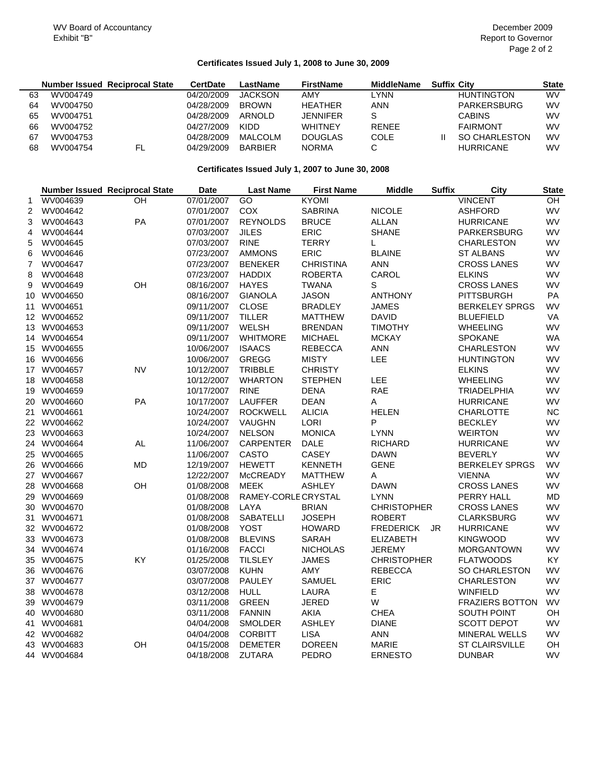# **Certificates Issued July 1, 2008 to June 30, 2009**

|    |          | <b>Number Issued Reciprocal State</b> | <b>CertDate</b> | LastName       | <b>FirstName</b> | <b>MiddleName</b> | <b>Suffix City</b>   | <b>State</b> |
|----|----------|---------------------------------------|-----------------|----------------|------------------|-------------------|----------------------|--------------|
| 63 | WV004749 |                                       | 04/20/2009      | <b>JACKSON</b> | AMY              | _YNN              | <b>HUNTINGTON</b>    | <b>WV</b>    |
| 64 | WV004750 |                                       | 04/28/2009      | <b>BROWN</b>   | <b>HEATHER</b>   | ANN               | PARKERSBURG          | <b>WV</b>    |
| 65 | WV004751 |                                       | 04/28/2009      | ARNOLD         | <b>JENNIFER</b>  | S                 | <b>CABINS</b>        | <b>WV</b>    |
| 66 | WV004752 |                                       | 04/27/2009      | KIDD           | <b>WHITNEY</b>   | <b>RENEE</b>      | <b>FAIRMONT</b>      | WV           |
| 67 | WV004753 |                                       | 04/28/2009      | <b>MALCOLM</b> | <b>DOUGLAS</b>   | COLE              | <b>SO CHARLESTON</b> | <b>WV</b>    |
| 68 | WV004754 | .FL                                   | 04/29/2009      | <b>BARBIER</b> | <b>NORMA</b>     |                   | <b>HURRICANE</b>     | <b>WV</b>    |

### **Certificates Issued July 1, 2007 to June 30, 2008**

|                |             | <b>Number Issued Reciprocal State</b> | <b>Date</b> | <b>Last Name</b>    | <b>First Name</b> | <b>Middle</b>      | <b>Suffix</b> | City                   | <b>State</b> |
|----------------|-------------|---------------------------------------|-------------|---------------------|-------------------|--------------------|---------------|------------------------|--------------|
| 1              | WV004639    | OH                                    | 07/01/2007  | GO                  | <b>KYOMI</b>      |                    |               | <b>VINCENT</b>         | OH           |
| 2              | WV004642    |                                       | 07/01/2007  | COX                 | <b>SABRINA</b>    | <b>NICOLE</b>      |               | <b>ASHFORD</b>         | WV           |
| 3              | WV004643    | PA                                    | 07/01/2007  | <b>REYNOLDS</b>     | <b>BRUCE</b>      | ALLAN              |               | <b>HURRICANE</b>       | WV           |
| 4              | WV004644    |                                       | 07/03/2007  | <b>JILES</b>        | ERIC              | <b>SHANE</b>       |               | PARKERSBURG            | WV           |
| 5              | WV004645    |                                       | 07/03/2007  | <b>RINE</b>         | <b>TERRY</b>      | L                  |               | <b>CHARLESTON</b>      | WV           |
| 6              | WV004646    |                                       | 07/23/2007  | <b>AMMONS</b>       | <b>ERIC</b>       | <b>BLAINE</b>      |               | <b>ST ALBANS</b>       | <b>WV</b>    |
| $\overline{7}$ | WV004647    |                                       | 07/23/2007  | <b>BENEKER</b>      | <b>CHRISTINA</b>  | <b>ANN</b>         |               | <b>CROSS LANES</b>     | WV           |
| 8              | WV004648    |                                       | 07/23/2007  | <b>HADDIX</b>       | <b>ROBERTA</b>    | CAROL              |               | <b>ELKINS</b>          | <b>WV</b>    |
| 9              | WV004649    | OH                                    | 08/16/2007  | <b>HAYES</b>        | <b>TWANA</b>      | S                  |               | <b>CROSS LANES</b>     | <b>WV</b>    |
|                | 10 WV004650 |                                       | 08/16/2007  | <b>GIANOLA</b>      | <b>JASON</b>      | <b>ANTHONY</b>     |               | <b>PITTSBURGH</b>      | PA           |
|                | 11 WV004651 |                                       | 09/11/2007  | <b>CLOSE</b>        | <b>BRADLEY</b>    | <b>JAMES</b>       |               | <b>BERKELEY SPRGS</b>  | WV           |
|                | 12 WV004652 |                                       | 09/11/2007  | <b>TILLER</b>       | <b>MATTHEW</b>    | <b>DAVID</b>       |               | <b>BLUEFIELD</b>       | VA           |
|                | 13 WV004653 |                                       | 09/11/2007  | <b>WELSH</b>        | <b>BRENDAN</b>    | <b>TIMOTHY</b>     |               | <b>WHEELING</b>        | <b>WV</b>    |
|                | 14 WV004654 |                                       | 09/11/2007  | <b>WHITMORE</b>     | <b>MICHAEL</b>    | <b>MCKAY</b>       |               | <b>SPOKANE</b>         | <b>WA</b>    |
|                | 15 WV004655 |                                       | 10/06/2007  | <b>ISAACS</b>       | <b>REBECCA</b>    | <b>ANN</b>         |               | <b>CHARLESTON</b>      | <b>WV</b>    |
|                | 16 WV004656 |                                       | 10/06/2007  | <b>GREGG</b>        | <b>MISTY</b>      | LEE                |               | <b>HUNTINGTON</b>      | <b>WV</b>    |
|                | 17 WV004657 | NV                                    | 10/12/2007  | <b>TRIBBLE</b>      | <b>CHRISTY</b>    |                    |               | <b>ELKINS</b>          | <b>WV</b>    |
|                | 18 WV004658 |                                       | 10/12/2007  | <b>WHARTON</b>      | <b>STEPHEN</b>    | LEE                |               | <b>WHEELING</b>        | WV           |
|                | 19 WV004659 |                                       | 10/17/2007  | <b>RINE</b>         | <b>DENA</b>       | RAE                |               | <b>TRIADELPHIA</b>     | WV           |
|                | 20 WV004660 | PA                                    | 10/17/2007  | <b>LAUFFER</b>      | <b>DEAN</b>       | Α                  |               | <b>HURRICANE</b>       | <b>WV</b>    |
|                | 21 WV004661 |                                       | 10/24/2007  | <b>ROCKWELL</b>     | <b>ALICIA</b>     | <b>HELEN</b>       |               | CHARLOTTE              | <b>NC</b>    |
|                | 22 WV004662 |                                       | 10/24/2007  | VAUGHN              | <b>LORI</b>       | P                  |               | <b>BECKLEY</b>         | WV           |
|                | 23 WV004663 |                                       | 10/24/2007  | <b>NELSON</b>       | <b>MONICA</b>     | <b>LYNN</b>        |               | <b>WEIRTON</b>         | WV           |
|                | 24 WV004664 | AL                                    | 11/06/2007  | <b>CARPENTER</b>    | <b>DALE</b>       | <b>RICHARD</b>     |               | <b>HURRICANE</b>       | <b>WV</b>    |
|                | 25 WV004665 |                                       | 11/06/2007  | <b>CASTO</b>        | CASEY             | <b>DAWN</b>        |               | <b>BEVERLY</b>         | <b>WV</b>    |
|                | 26 WV004666 | MD                                    | 12/19/2007  | <b>HEWETT</b>       | <b>KENNETH</b>    | <b>GENE</b>        |               | <b>BERKELEY SPRGS</b>  | WV           |
|                | 27 WV004667 |                                       | 12/22/2007  | <b>McCREADY</b>     | <b>MATTHEW</b>    | Α                  |               | <b>VIENNA</b>          | <b>WV</b>    |
|                | 28 WV004668 | OH                                    | 01/08/2008  | <b>MEEK</b>         | <b>ASHLEY</b>     | <b>DAWN</b>        |               | <b>CROSS LANES</b>     | WV           |
|                | 29 WV004669 |                                       | 01/08/2008  | RAMEY-CORLE CRYSTAL |                   | <b>LYNN</b>        |               | PERRY HALL             | <b>MD</b>    |
|                | 30 WV004670 |                                       | 01/08/2008  | LAYA                | <b>BRIAN</b>      | <b>CHRISTOPHER</b> |               | <b>CROSS LANES</b>     | <b>WV</b>    |
|                | 31 WV004671 |                                       | 01/08/2008  | SABATELLI           | <b>JOSEPH</b>     | <b>ROBERT</b>      |               | <b>CLARKSBURG</b>      | WV           |
|                | 32 WV004672 |                                       | 01/08/2008  | <b>YOST</b>         | <b>HOWARD</b>     | <b>FREDERICK</b>   | JR            | <b>HURRICANE</b>       | <b>WV</b>    |
|                | 33 WV004673 |                                       | 01/08/2008  | <b>BLEVINS</b>      | <b>SARAH</b>      | <b>ELIZABETH</b>   |               | <b>KINGWOOD</b>        | <b>WV</b>    |
|                | 34 WV004674 |                                       | 01/16/2008  | <b>FACCI</b>        | <b>NICHOLAS</b>   | <b>JEREMY</b>      |               | <b>MORGANTOWN</b>      | WV           |
|                | 35 WV004675 | ΚY                                    | 01/25/2008  | <b>TILSLEY</b>      | <b>JAMES</b>      | <b>CHRISTOPHER</b> |               | <b>FLATWOODS</b>       | KY           |
|                | 36 WV004676 |                                       | 03/07/2008  | <b>KUHN</b>         | AMY               | <b>REBECCA</b>     |               | <b>SO CHARLESTON</b>   | WV           |
|                | 37 WV004677 |                                       | 03/07/2008  | PAULEY              | SAMUEL            | <b>ERIC</b>        |               | <b>CHARLESTON</b>      | WV           |
|                | 38 WV004678 |                                       | 03/12/2008  | <b>HULL</b>         | LAURA             | Е                  |               | <b>WINFIELD</b>        | <b>WV</b>    |
|                | 39 WV004679 |                                       | 03/11/2008  | <b>GREEN</b>        | <b>JERED</b>      | W                  |               | <b>FRAZIERS BOTTON</b> | WV           |
|                | 40 WV004680 |                                       | 03/11/2008  | <b>FANNIN</b>       | AKIA              | <b>CHEA</b>        |               | SOUTH POINT            | OH           |
|                | 41 WV004681 |                                       | 04/04/2008  | <b>SMOLDER</b>      | <b>ASHLEY</b>     | <b>DIANE</b>       |               | <b>SCOTT DEPOT</b>     | <b>WV</b>    |
|                | 42 WV004682 |                                       | 04/04/2008  | <b>CORBITT</b>      | <b>LISA</b>       | <b>ANN</b>         |               | <b>MINERAL WELLS</b>   | <b>WV</b>    |
|                | 43 WV004683 | OH                                    | 04/15/2008  | <b>DEMETER</b>      | <b>DOREEN</b>     | MARIE              |               | <b>ST CLAIRSVILLE</b>  | OH           |
|                | 44 WV004684 |                                       | 04/18/2008  | <b>ZUTARA</b>       | PEDRO             | <b>ERNESTO</b>     |               | <b>DUNBAR</b>          | <b>WV</b>    |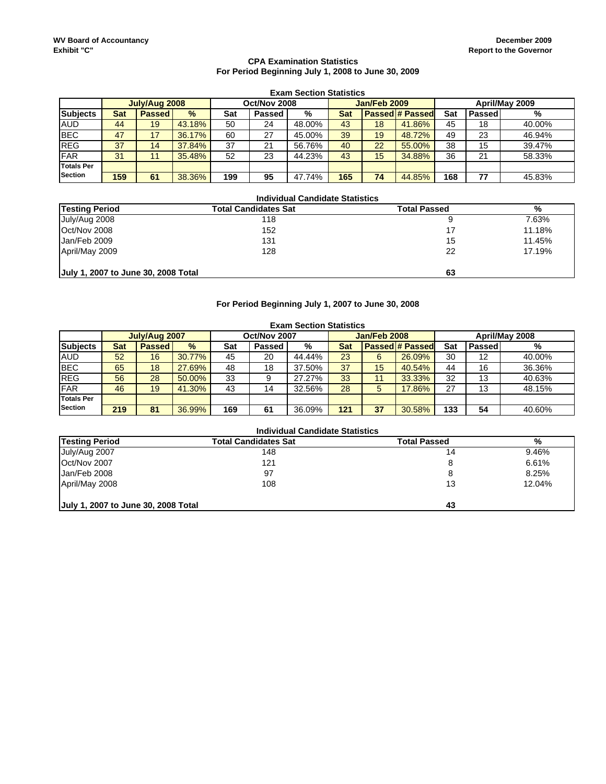#### **CPA Examination Statistics For Period Beginning July 1, 2008 to June 30, 2009**

|                   | <b>Exam Section Statistics</b>                                  |               |        |     |               |        |     |    |                        |     |        |        |
|-------------------|-----------------------------------------------------------------|---------------|--------|-----|---------------|--------|-----|----|------------------------|-----|--------|--------|
|                   | April/May 2009<br>Jan/Feb 2009<br>Oct/Nov 2008<br>July/Aug 2008 |               |        |     |               |        |     |    |                        |     |        |        |
| <b>Subjects</b>   | <b>Sat</b>                                                      | <b>Passed</b> | $\%$   | Sat | <b>Passed</b> | %      | Sat |    | <b>Passed # Passed</b> | Sat | Passed | %      |
| <b>AUD</b>        | 44                                                              | 19            | 43.18% | 50  | 24            | 48.00% | 43  | 18 | 41.86%                 | 45  | 18     | 40.00% |
| <b>BEC</b>        | 47                                                              | 17            | 36.17% | 60  | 27            | 45.00% | 39  | 19 | 48.72%                 | 49  | 23     | 46.94% |
| <b>REG</b>        | 37                                                              | 14            | 37.84% | 37  | 21            | 56.76% | 40  | 22 | 55.00%                 | 38  | 15     | 39.47% |
| FAR               | 31                                                              | 14            | 35.48% | 52  | 23            | 44.23% | 43  | 15 | 34.88%                 | 36  | 21     | 58.33% |
| <b>Totals Per</b> |                                                                 |               |        |     |               |        |     |    |                        |     |        |        |
| <b>Section</b>    | 159                                                             | 61            | 38.36% | 199 | 95            | 47.74% | 165 | 74 | 44.85%                 | 168 | 77     | 45.83% |

#### **Total Candidates Sat Total Passed Way of School School School School School School School School School School School School School School School School School School School School School School School School School Schoo** July/Aug 2008 118 9 7.63% Oct/Nov 2008 152 17 11.18% Jan/Feb 2009 131 15 11.45% April/May 2009 **128** 22 22 17.19% **July 1, 2007 to June 30, 2008 Total 63 Individual Candidate Statistics Testing Period**

### **For Period Beginning July 1, 2007 to June 30, 2008**

|                   | <b>Exam Section Statistics</b>                                  |               |        |     |        |        |     |    |                        |     |        |        |
|-------------------|-----------------------------------------------------------------|---------------|--------|-----|--------|--------|-----|----|------------------------|-----|--------|--------|
|                   | Oct/Nov 2007<br>Jan/Feb 2008<br>April/May 2008<br>July/Aug 2007 |               |        |     |        |        |     |    |                        |     |        |        |
| <b>Subjects</b>   | <b>Sat</b>                                                      | <b>Passed</b> | $\%$   | Sat | Passed | %      | Sat |    | <b>Passed # Passed</b> | Sat | Passed | %      |
| <b>AUD</b>        | 52                                                              | 16            | 30.77% | 45  | 20     | 44.44% | 23  | 6  | 26.09%                 | 30  | 12     | 40.00% |
| <b>BEC</b>        | 65                                                              | 18            | 27.69% | 48  | 18     | 37.50% | 37  | 15 | 40.54%                 | 44  | 16     | 36.36% |
| <b>REG</b>        | 56                                                              | 28            | 50.00% | 33  | 9      | 27.27% | 33  | 11 | 33.33%                 | 32  | 13     | 40.63% |
| <b>FAR</b>        | 46                                                              | 19            | 41.30% | 43  | 14     | 32.56% | 28  | 5  | 17.86%                 | 27  | 13     | 48.15% |
| <b>Totals Per</b> |                                                                 |               |        |     |        |        |     |    |                        |     |        |        |
| <b>Section</b>    | 219                                                             | 81            | 36.99% | 169 | 61     | 36.09% | 121 | 37 | 30.58%                 | 133 | 54     | 40.60% |

| <b>Testing Period</b>               | <b>Total Candidates Sat</b> | <b>Total Passed</b> | %      |
|-------------------------------------|-----------------------------|---------------------|--------|
| July/Aug 2007                       | 148                         | 14                  | 9.46%  |
| Oct/Nov 2007                        | 121                         | 8                   | 6.61%  |
| Jan/Feb 2008                        | 97                          | 8                   | 8.25%  |
| April/May 2008                      | 108                         | 13                  | 12.04% |
| July 1, 2007 to June 30, 2008 Total |                             | 43                  |        |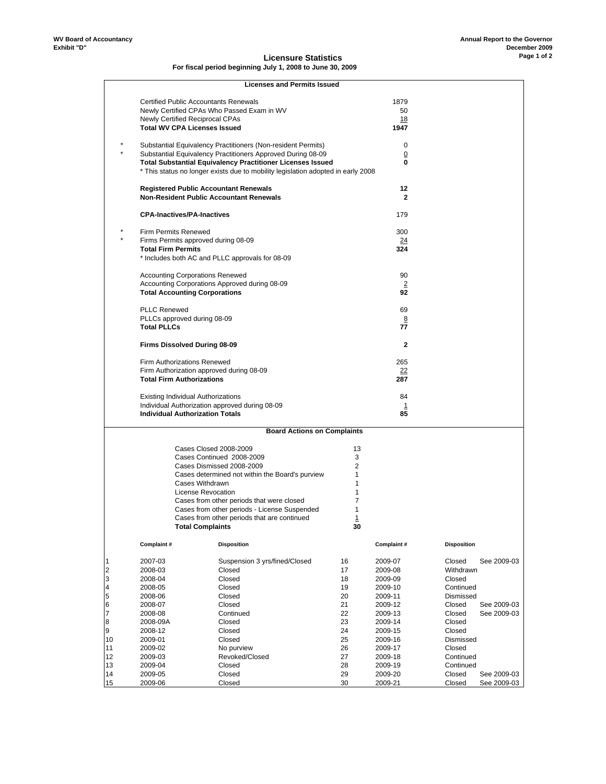#### **Licensure Statistics For fiscal period beginning July 1, 2008 to June 30, 2009**

|                         |                                                                              | <b>Licenses and Permits Issued</b>                                               |          |                    |                       |  |
|-------------------------|------------------------------------------------------------------------------|----------------------------------------------------------------------------------|----------|--------------------|-----------------------|--|
|                         |                                                                              | <b>Certified Public Accountants Renewals</b>                                     |          | 1879               |                       |  |
|                         |                                                                              | Newly Certified CPAs Who Passed Exam in WV                                       |          | 50                 |                       |  |
|                         | Newly Certified Reciprocal CPAs                                              |                                                                                  |          | 18                 |                       |  |
|                         | <b>Total WV CPA Licenses Issued</b>                                          |                                                                                  |          | 1947               |                       |  |
|                         |                                                                              | Substantial Equivalency Practitioners (Non-resident Permits)                     |          | 0                  |                       |  |
|                         |                                                                              | Substantial Equivalency Practitioners Approved During 08-09                      |          | $\overline{0}$     |                       |  |
|                         |                                                                              | <b>Total Substantial Equivalency Practitioner Licenses Issued</b>                |          | 0                  |                       |  |
|                         |                                                                              | * This status no longer exists due to mobility legislation adopted in early 2008 |          |                    |                       |  |
|                         |                                                                              | <b>Registered Public Accountant Renewals</b>                                     |          | 12                 |                       |  |
|                         |                                                                              | <b>Non-Resident Public Accountant Renewals</b>                                   |          | $\mathbf{2}$       |                       |  |
|                         | <b>CPA-Inactives/PA-Inactives</b>                                            |                                                                                  |          | 179                |                       |  |
|                         | <b>Firm Permits Renewed</b>                                                  |                                                                                  |          | 300                |                       |  |
|                         |                                                                              | Firms Permits approved during 08-09                                              |          | $\overline{24}$    |                       |  |
|                         | <b>Total Firm Permits</b>                                                    | * Includes both AC and PLLC approvals for 08-09                                  |          | 324                |                       |  |
|                         | <b>Accounting Corporations Renewed</b>                                       |                                                                                  |          | 90                 |                       |  |
|                         |                                                                              | Accounting Corporations Approved during 08-09                                    |          | $\overline{2}$     |                       |  |
|                         | <b>Total Accounting Corporations</b>                                         |                                                                                  |          | 92                 |                       |  |
|                         | <b>PLLC Renewed</b>                                                          |                                                                                  |          | 69                 |                       |  |
|                         | PLLCs approved during 08-09                                                  |                                                                                  |          | 8                  |                       |  |
|                         | <b>Total PLLCs</b>                                                           |                                                                                  |          | 77                 |                       |  |
|                         | Firms Dissolved During 08-09                                                 |                                                                                  |          | $\mathbf{2}$       |                       |  |
|                         | Firm Authorizations Renewed                                                  |                                                                                  |          | 265                |                       |  |
|                         | Firm Authorization approved during 08-09<br><b>Total Firm Authorizations</b> |                                                                                  |          | 22<br>287          |                       |  |
|                         |                                                                              |                                                                                  |          |                    |                       |  |
|                         | <b>Existing Individual Authorizations</b>                                    |                                                                                  |          | 84                 |                       |  |
|                         | <b>Individual Authorization Totals</b>                                       | Individual Authorization approved during 08-09                                   |          | 1<br>85            |                       |  |
|                         |                                                                              |                                                                                  |          |                    |                       |  |
|                         |                                                                              | <b>Board Actions on Complaints</b>                                               |          |                    |                       |  |
|                         |                                                                              | Cases Closed 2008-2009                                                           | 13       |                    |                       |  |
|                         |                                                                              | Cases Continued 2008-2009<br>Cases Dismissed 2008-2009                           | 3<br>2   |                    |                       |  |
|                         |                                                                              | Cases determined not within the Board's purview                                  | 1        |                    |                       |  |
|                         |                                                                              | Cases Withdrawn                                                                  | 1        |                    |                       |  |
|                         |                                                                              | License Revocation                                                               | 1        |                    |                       |  |
|                         |                                                                              | Cases from other periods that were closed                                        | 7        |                    |                       |  |
|                         |                                                                              | Cases from other periods - License Suspended                                     | 1        |                    |                       |  |
|                         |                                                                              | Cases from other periods that are continued                                      | 1        |                    |                       |  |
|                         |                                                                              | <b>Total Complaints</b>                                                          | 30       |                    |                       |  |
|                         | Complaint#                                                                   | <b>Disposition</b>                                                               |          | Complaint#         | <b>Disposition</b>    |  |
| $\overline{1}$          | 2007-03                                                                      | Suspension 3 yrs/fined/Closed                                                    | 16       | 2009-07            | Closed<br>See 2009-03 |  |
| $\overline{\mathbf{c}}$ | 2008-03                                                                      | Closed                                                                           | 17       | 2009-08            | Withdrawn             |  |
| 3                       | 2008-04                                                                      | Closed                                                                           | 18       | 2009-09            | Closed                |  |
| $\overline{\mathbf{4}}$ | 2008-05                                                                      | Closed                                                                           | 19       | 2009-10            | Continued             |  |
| 5                       | 2008-06                                                                      | Closed                                                                           | 20       | 2009-11            | Dismissed             |  |
| $6\phantom{.}6$         | 2008-07                                                                      | Closed                                                                           | 21       | 2009-12            | Closed<br>See 2009-03 |  |
| $\overline{7}$          | 2008-08                                                                      | Continued                                                                        | 22       | 2009-13            | Closed<br>See 2009-03 |  |
| 8                       | 2008-09A                                                                     | Closed                                                                           | 23       | 2009-14            | Closed                |  |
| 9                       | 2008-12                                                                      | Closed                                                                           | 24       | 2009-15            | Closed                |  |
| 10                      | 2009-01                                                                      | Closed                                                                           | 25       | 2009-16            | Dismissed             |  |
| 11<br>12                | 2009-02                                                                      | No purview<br>Revoked/Closed                                                     | 26<br>27 | 2009-17            | Closed<br>Continued   |  |
| 13                      | 2009-03<br>2009-04                                                           | Closed                                                                           | 28       | 2009-18<br>2009-19 | Continued             |  |
| 14                      | 2009-05                                                                      | Closed                                                                           | 29       | 2009-20            | Closed<br>See 2009-03 |  |
| 15                      | 2009-06                                                                      | Closed                                                                           | 30       | 2009-21            | Closed<br>See 2009-03 |  |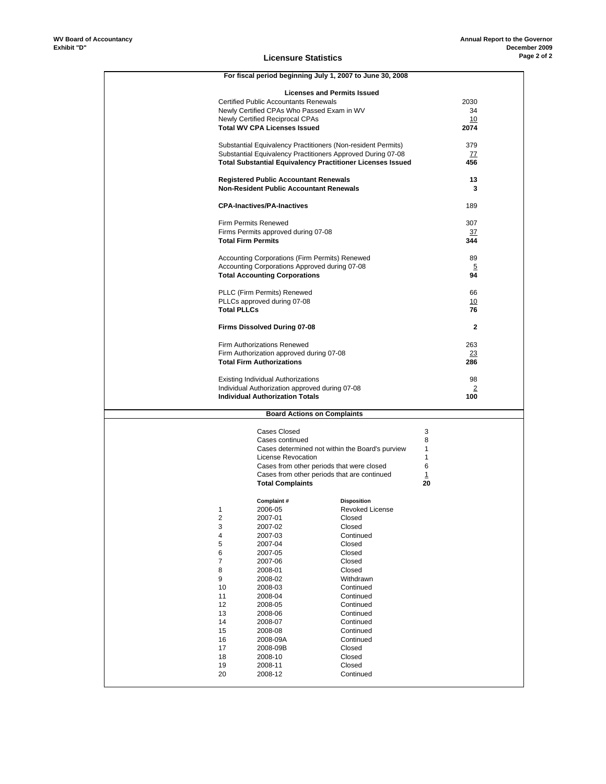|                           | For fiscal period beginning July 1, 2007 to June 30, 2008                          |                        |           |  |
|---------------------------|------------------------------------------------------------------------------------|------------------------|-----------|--|
|                           |                                                                                    |                        |           |  |
|                           | <b>Licenses and Permits Issued</b><br><b>Certified Public Accountants Renewals</b> |                        | 2030      |  |
|                           | Newly Certified CPAs Who Passed Exam in WV                                         |                        | 34        |  |
|                           | Newly Certified Reciprocal CPAs                                                    |                        | 10        |  |
|                           | <b>Total WV CPA Licenses Issued</b>                                                |                        | 2074      |  |
|                           |                                                                                    |                        |           |  |
|                           | Substantial Equivalency Practitioners (Non-resident Permits)                       |                        | 379       |  |
|                           | Substantial Equivalency Practitioners Approved During 07-08                        |                        | 77        |  |
|                           | <b>Total Substantial Equivalency Practitioner Licenses Issued</b>                  |                        | 456       |  |
|                           |                                                                                    |                        |           |  |
|                           | <b>Registered Public Accountant Renewals</b>                                       |                        | 13        |  |
|                           | <b>Non-Resident Public Accountant Renewals</b>                                     |                        | 3         |  |
|                           |                                                                                    |                        |           |  |
|                           | <b>CPA-Inactives/PA-Inactives</b>                                                  |                        | 189       |  |
|                           |                                                                                    |                        |           |  |
|                           | <b>Firm Permits Renewed</b>                                                        |                        | 307       |  |
|                           | Firms Permits approved during 07-08                                                |                        | <u>37</u> |  |
| <b>Total Firm Permits</b> |                                                                                    |                        | 344       |  |
|                           |                                                                                    |                        |           |  |
|                           | Accounting Corporations (Firm Permits) Renewed                                     |                        | 89        |  |
|                           | Accounting Corporations Approved during 07-08                                      |                        | 5         |  |
|                           | <b>Total Accounting Corporations</b>                                               |                        | 94        |  |
|                           |                                                                                    |                        |           |  |
|                           | PLLC (Firm Permits) Renewed                                                        |                        | 66        |  |
|                           | PLLCs approved during 07-08                                                        |                        | 10        |  |
| <b>Total PLLCs</b>        |                                                                                    |                        | 76        |  |
|                           | <b>Firms Dissolved During 07-08</b>                                                |                        | 2         |  |
|                           |                                                                                    |                        |           |  |
|                           | Firm Authorizations Renewed                                                        |                        | 263       |  |
|                           | Firm Authorization approved during 07-08                                           |                        | 23        |  |
|                           | <b>Total Firm Authorizations</b>                                                   |                        | 286       |  |
|                           |                                                                                    |                        |           |  |
|                           |                                                                                    |                        |           |  |
|                           | <b>Existing Individual Authorizations</b>                                          |                        | 98        |  |
|                           | Individual Authorization approved during 07-08                                     |                        | 2         |  |
|                           | <b>Individual Authorization Totals</b>                                             |                        | 100       |  |
|                           |                                                                                    |                        |           |  |
|                           | <b>Board Actions on Complaints</b>                                                 |                        |           |  |
|                           |                                                                                    |                        |           |  |
|                           | <b>Cases Closed</b>                                                                |                        | 3         |  |
|                           | Cases continued                                                                    |                        | 8         |  |
|                           | Cases determined not within the Board's purview                                    |                        | 1         |  |
|                           | License Revocation                                                                 |                        | 1<br>6    |  |
|                           | Cases from other periods that were closed                                          |                        |           |  |
|                           | Cases from other periods that are continued<br><b>Total Complaints</b>             |                        | 1<br>20   |  |
|                           |                                                                                    |                        |           |  |
|                           | Complaint#                                                                         | <b>Disposition</b>     |           |  |
| 1                         | 2006-05                                                                            | Revoked License        |           |  |
| 2                         | 2007-01                                                                            | Closed                 |           |  |
| 3                         | 2007-02                                                                            | Closed                 |           |  |
| 4                         | 2007-03                                                                            | Continued              |           |  |
| 5                         | 2007-04                                                                            | Closed                 |           |  |
| 6                         | 2007-05                                                                            | Closed                 |           |  |
| 7                         | 2007-06                                                                            | Closed                 |           |  |
| 8                         | 2008-01                                                                            | Closed                 |           |  |
| 9                         | 2008-02                                                                            | Withdrawn              |           |  |
| 10                        | 2008-03                                                                            | Continued              |           |  |
| 11                        | 2008-04                                                                            | Continued              |           |  |
| 12                        | 2008-05                                                                            | Continued              |           |  |
| 13                        | 2008-06                                                                            | Continued              |           |  |
| 14                        | 2008-07                                                                            | Continued              |           |  |
| 15<br>16                  | 2008-08                                                                            | Continued<br>Continued |           |  |
| 17                        | 2008-09A<br>2008-09B                                                               | Closed                 |           |  |
| 18                        | 2008-10                                                                            | Closed                 |           |  |
| 19                        | 2008-11                                                                            | Closed                 |           |  |
| 20                        | 2008-12                                                                            | Continued              |           |  |

#### **Licensure Statistics**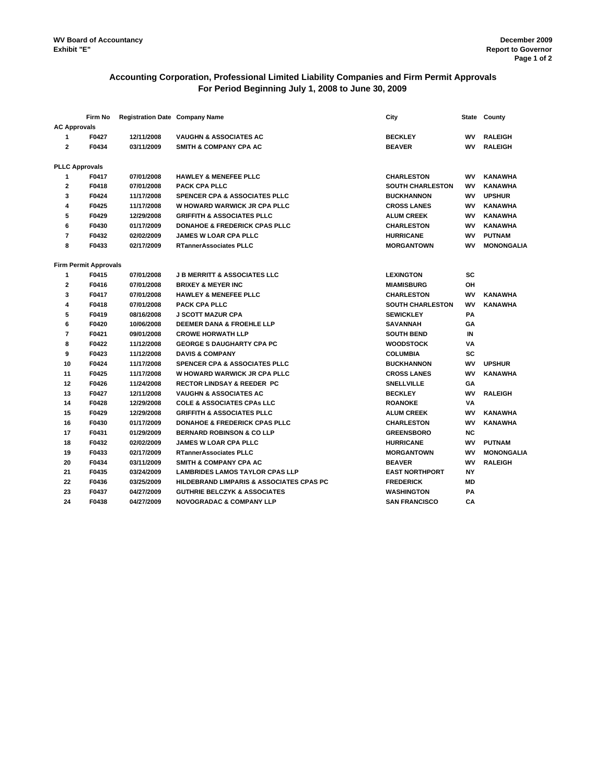# **Accounting Corporation, Professional Limited Liability Companies and Firm Permit Approvals For Period Beginning July 1, 2008 to June 30, 2009**

|                     | Firm No                      | <b>Registration Date Company Name</b> |                                                     | City                    |           | State County      |
|---------------------|------------------------------|---------------------------------------|-----------------------------------------------------|-------------------------|-----------|-------------------|
| <b>AC Approvals</b> |                              |                                       |                                                     |                         |           |                   |
| 1                   | F0427                        | 12/11/2008                            | <b>VAUGHN &amp; ASSOCIATES AC</b>                   | <b>BECKLEY</b>          | <b>WV</b> | <b>RALEIGH</b>    |
| $\mathbf{2}$        | F0434                        | 03/11/2009                            | <b>SMITH &amp; COMPANY CPA AC</b>                   | <b>BEAVER</b>           | <b>WV</b> | <b>RALEIGH</b>    |
|                     |                              |                                       |                                                     |                         |           |                   |
|                     | <b>PLLC Approvals</b>        |                                       |                                                     |                         |           |                   |
| 1                   | F0417                        | 07/01/2008                            | <b>HAWLEY &amp; MENEFEE PLLC</b>                    | <b>CHARLESTON</b>       | wv        | <b>KANAWHA</b>    |
| $\mathbf{2}$        | F0418                        | 07/01/2008                            | PACK CPA PLLC                                       | <b>SOUTH CHARLESTON</b> | W٧        | KANAWHA           |
| 3                   | F0424                        | 11/17/2008                            | <b>SPENCER CPA &amp; ASSOCIATES PLLC</b>            | <b>BUCKHANNON</b>       | wv        | <b>UPSHUR</b>     |
| 4                   | F0425                        | 11/17/2008                            | W HOWARD WARWICK JR CPA PLLC                        | <b>CROSS LANES</b>      | <b>WV</b> | <b>KANAWHA</b>    |
| 5                   | F0429                        | 12/29/2008                            | <b>GRIFFITH &amp; ASSOCIATES PLLC</b>               | <b>ALUM CREEK</b>       | <b>WV</b> | <b>KANAWHA</b>    |
| 6                   | F0430                        | 01/17/2009                            | <b>DONAHOE &amp; FREDERICK CPAS PLLC</b>            | <b>CHARLESTON</b>       | <b>WV</b> | <b>KANAWHA</b>    |
| $\overline{7}$      | F0432                        | 02/02/2009                            | <b>JAMES W LOAR CPA PLLC</b>                        | <b>HURRICANE</b>        | <b>WV</b> | <b>PUTNAM</b>     |
| 8                   | F0433                        | 02/17/2009                            | <b>RTannerAssociates PLLC</b>                       | <b>MORGANTOWN</b>       | WV        | <b>MONONGALIA</b> |
|                     | <b>Firm Permit Approvals</b> |                                       |                                                     |                         |           |                   |
| 1                   | F0415                        | 07/01/2008                            | <b>J B MERRITT &amp; ASSOCIATES LLC</b>             | <b>LEXINGTON</b>        | <b>SC</b> |                   |
| $\mathbf{2}$        | F0416                        | 07/01/2008                            | <b>BRIXEY &amp; MEYER INC</b>                       | <b>MIAMISBURG</b>       | OH        |                   |
| 3                   | F0417                        | 07/01/2008                            | <b>HAWLEY &amp; MENEFEE PLLC</b>                    | <b>CHARLESTON</b>       | <b>WV</b> | <b>KANAWHA</b>    |
| 4                   | F0418                        | 07/01/2008                            | <b>PACK CPA PLLC</b>                                | <b>SOUTH CHARLESTON</b> | wv        | <b>KANAWHA</b>    |
| 5                   | F0419                        | 08/16/2008                            | <b>J SCOTT MAZUR CPA</b>                            | <b>SEWICKLEY</b>        | PA        |                   |
| 6                   | F0420                        | 10/06/2008                            | <b>DEEMER DANA &amp; FROEHLE LLP</b>                | <b>SAVANNAH</b>         | GA        |                   |
| $\overline{7}$      | F0421                        | 09/01/2008                            | <b>CROWE HORWATH LLP</b>                            | <b>SOUTH BEND</b>       | IN        |                   |
| 8                   | F0422                        | 11/12/2008                            | <b>GEORGE S DAUGHARTY CPA PC</b>                    | <b>WOODSTOCK</b>        | VA        |                   |
| 9                   | F0423                        | 11/12/2008                            | <b>DAVIS &amp; COMPANY</b>                          | <b>COLUMBIA</b>         | <b>SC</b> |                   |
| 10                  | F0424                        | 11/17/2008                            | <b>SPENCER CPA &amp; ASSOCIATES PLLC</b>            | <b>BUCKHANNON</b>       | WV        | <b>UPSHUR</b>     |
| 11                  | F0425                        | 11/17/2008                            | <b>W HOWARD WARWICK JR CPA PLLC</b>                 | <b>CROSS LANES</b>      | wv        | <b>KANAWHA</b>    |
| 12                  | F0426                        | 11/24/2008                            | <b>RECTOR LINDSAY &amp; REEDER PC</b>               | <b>SNELLVILLE</b>       | GA        |                   |
| 13                  | F0427                        | 12/11/2008                            | <b>VAUGHN &amp; ASSOCIATES AC</b>                   | <b>BECKLEY</b>          | WV        | <b>RALEIGH</b>    |
| 14                  | F0428                        | 12/29/2008                            | <b>COLE &amp; ASSOCIATES CPAs LLC</b>               | <b>ROANOKE</b>          | VA        |                   |
| 15                  | F0429                        | 12/29/2008                            | <b>GRIFFITH &amp; ASSOCIATES PLLC</b>               | <b>ALUM CREEK</b>       | wv        | <b>KANAWHA</b>    |
| 16                  | F0430                        | 01/17/2009                            | <b>DONAHOE &amp; FREDERICK CPAS PLLC</b>            | <b>CHARLESTON</b>       | wv        | <b>KANAWHA</b>    |
| 17                  | F0431                        | 01/29/2009                            | <b>BERNARD ROBINSON &amp; CO LLP</b>                | <b>GREENSBORO</b>       | <b>NC</b> |                   |
| 18                  | F0432                        | 02/02/2009                            | <b>JAMES W LOAR CPA PLLC</b>                        | <b>HURRICANE</b>        | <b>WV</b> | <b>PUTNAM</b>     |
|                     |                              |                                       |                                                     |                         |           |                   |
| 19                  | F0433                        | 02/17/2009                            | <b>RTannerAssociates PLLC</b>                       | <b>MORGANTOWN</b>       | <b>WV</b> | <b>MONONGALIA</b> |
| 20                  | F0434                        | 03/11/2009                            | <b>SMITH &amp; COMPANY CPA AC</b>                   | <b>BEAVER</b>           | WV        | <b>RALEIGH</b>    |
| 21                  | F0435                        | 03/24/2009                            | <b>LAMBRIDES LAMOS TAYLOR CPAS LLP</b>              | <b>EAST NORTHPORT</b>   | <b>NY</b> |                   |
| 22                  | F0436                        | 03/25/2009                            | <b>HILDEBRAND LIMPARIS &amp; ASSOCIATES CPAS PC</b> | <b>FREDERICK</b>        | <b>MD</b> |                   |
| 23                  | F0437                        | 04/27/2009                            | <b>GUTHRIE BELCZYK &amp; ASSOCIATES</b>             | <b>WASHINGTON</b>       | PA        |                   |
| 24                  | F0438                        | 04/27/2009                            | <b>NOVOGRADAC &amp; COMPANY LLP</b>                 | <b>SAN FRANCISCO</b>    | CА        |                   |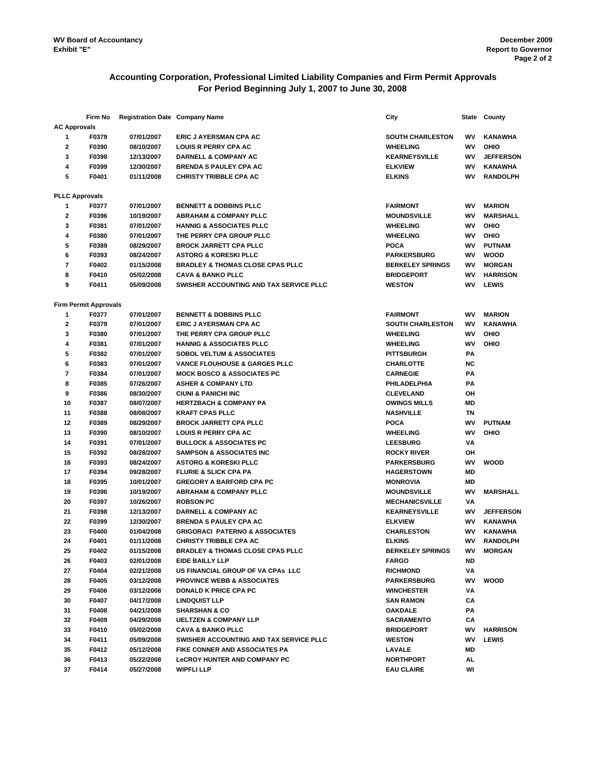# **Accounting Corporation, Professional Limited Liability Companies and Firm Permit Approvals For Period Beginning July 1, 2007 to June 30, 2008**

|                     | Firm No                      | <b>Registration Date Company Name</b> |                                             | City                    | State     | County           |
|---------------------|------------------------------|---------------------------------------|---------------------------------------------|-------------------------|-----------|------------------|
| <b>AC Approvals</b> |                              |                                       |                                             |                         |           |                  |
| 1                   | F0379                        | 07/01/2007                            | ERIC J AYERSMAN CPA AC                      | <b>SOUTH CHARLESTON</b> | WV        | <b>KANAWHA</b>   |
| $\mathbf{2}$        | F0390                        | 08/10/2007                            | <b>LOUIS R PERRY CPA AC</b>                 | <b>WHEELING</b>         | wv        | OHIO             |
| 3                   | F0398                        | 12/13/2007                            | <b>DARNELL &amp; COMPANY AC</b>             | <b>KEARNEYSVILLE</b>    | WV        | <b>JEFFERSON</b> |
| 4                   | F0399                        | 12/30/2007                            | <b>BRENDA S PAULEY CPA AC</b>               | <b>ELKVIEW</b>          | WV        | <b>KANAWHA</b>   |
| 5                   | F0401                        | 01/11/2008                            | <b>CHRISTY TRIBBLE CPA AC</b>               | <b>ELKINS</b>           | <b>WV</b> | <b>RANDOLPH</b>  |
|                     |                              |                                       |                                             |                         |           |                  |
|                     | <b>PLLC Approvals</b>        |                                       |                                             |                         |           |                  |
| 1                   | F0377                        | 07/01/2007                            | <b>BENNETT &amp; DOBBINS PLLC</b>           | <b>FAIRMONT</b>         | WV        | <b>MARION</b>    |
| 2                   | F0396                        | 10/19/2007                            | <b>ABRAHAM &amp; COMPANY PLLC</b>           | <b>MOUNDSVILLE</b>      | WV        | <b>MARSHALL</b>  |
| 3                   | F0381                        | 07/01/2007                            | <b>HANNIG &amp; ASSOCIATES PLLC</b>         | <b>WHEELING</b>         | WV        | OHIO             |
| 4                   | F0380                        | 07/01/2007                            | THE PERRY CPA GROUP PLLC                    | <b>WHEELING</b>         | wv        | OHIO             |
| 5                   | F0389                        | 08/29/2007                            | <b>BROCK JARRETT CPA PLLC</b>               | <b>POCA</b>             | WV        | <b>PUTNAM</b>    |
| 6                   | F0393                        | 08/24/2007                            | <b>ASTORG &amp; KORESKI PLLC</b>            | <b>PARKERSBURG</b>      | WV        | <b>WOOD</b>      |
| 7                   | F0402                        | 01/15/2008                            | <b>BRADLEY &amp; THOMAS CLOSE CPAS PLLC</b> | <b>BERKELEY SPRINGS</b> | WV        | <b>MORGAN</b>    |
| 8                   | F0410                        | 05/02/2008                            | <b>CAVA &amp; BANKO PLLC</b>                | <b>BRIDGEPORT</b>       | WV        | <b>HARRISON</b>  |
| 9                   | F0411                        | 05/09/2008                            | SWISHER ACCOUNTING AND TAX SERVICE PLLC     | <b>WESTON</b>           | <b>WV</b> | <b>LEWIS</b>     |
|                     |                              |                                       |                                             |                         |           |                  |
|                     | <b>Firm Permit Approvals</b> |                                       |                                             |                         |           |                  |
| 1                   | F0377                        | 07/01/2007                            | <b>BENNETT &amp; DOBBINS PLLC</b>           | <b>FAIRMONT</b>         | WV        | <b>MARION</b>    |
| $\mathbf{2}$        | F0379                        | 07/01/2007                            | ERIC J AYERSMAN CPA AC                      | <b>SOUTH CHARLESTON</b> | WV        | <b>KANAWHA</b>   |
| 3                   | F0380                        | 07/01/2007                            | THE PERRY CPA GROUP PLLC                    | <b>WHEELING</b>         | WV        | OHIO             |
| 4                   | F0381                        | 07/01/2007                            | <b>HANNIG &amp; ASSOCIATES PLLC</b>         | <b>WHEELING</b>         | WV        | OHIO             |
| 5                   | F0382                        | 07/01/2007                            | <b>SOBOL VELTUM &amp; ASSOCIATES</b>        | <b>PITTSBURGH</b>       | PA        |                  |
| 6                   | F0383                        | 07/01/2007                            | VANCE FLOUHOUSE & GARGES PLLC               | <b>CHARLOTTE</b>        | <b>NC</b> |                  |
| $\overline{7}$      | F0384                        | 07/01/2007                            | <b>MOCK BOSCO &amp; ASSOCIATES PC</b>       | <b>CARNEGIE</b>         | PА        |                  |
| 8                   | F0385                        | 07/26/2007                            | <b>ASHER &amp; COMPANY LTD</b>              | PHILADELPHIA            | PA        |                  |
| 9                   | F0386                        | 08/30/2007                            | <b>CIUNI &amp; PANICHI INC</b>              | <b>CLEVELAND</b>        | ΟН        |                  |
| 10                  | F0387                        | 08/07/2007                            | <b>HERTZBACH &amp; COMPANY PA</b>           | <b>OWINGS MILLS</b>     | MD        |                  |
| 11                  | F0388                        | 08/08/2007                            | <b>KRAFT CPAS PLLC</b>                      | <b>NASHVILLE</b>        | ΤN        |                  |
| 12                  | F0389                        | 08/29/2007                            | <b>BROCK JARRETT CPA PLLC</b>               | <b>POCA</b>             | WV        | <b>PUTNAM</b>    |
| 13                  | F0390                        | 08/10/2007                            | <b>LOUIS R PERRY CPA AC</b>                 | <b>WHEELING</b>         | WV        | OHIO             |
| 14                  | F0391                        | 07/01/2007                            | <b>BULLOCK &amp; ASSOCIATES PC</b>          | <b>LEESBURG</b>         | VA        |                  |
| 15                  | F0392                        | 08/28/2007                            | <b>SAMPSON &amp; ASSOCIATES INC</b>         | <b>ROCKY RIVER</b>      | OH        |                  |
| 16                  | F0393                        | 08/24/2007                            | <b>ASTORG &amp; KORESKI PLLC</b>            | <b>PARKERSBURG</b>      | WV        | <b>WOOD</b>      |
| 17                  | F0394                        | 09/28/2007                            | <b>FLURIE &amp; SLICK CPA PA</b>            | <b>HAGERSTOWN</b>       | MD        |                  |
| 18                  | F0395                        | 10/01/2007                            | <b>GREGORY A BARFORD CPA PC</b>             | <b>MONROVIA</b>         | MD        |                  |
| 19                  | F0396                        | 10/19/2007                            | <b>ABRAHAM &amp; COMPANY PLLC</b>           | <b>MOUNDSVILLE</b>      | WV        | <b>MARSHALL</b>  |
| 20                  | F0397                        | 10/26/2007                            | <b>ROBSON PC</b>                            | <b>MECHANICSVILLE</b>   | VA        |                  |
| 21                  | F0398                        | 12/13/2007                            | <b>DARNELL &amp; COMPANY AC</b>             | <b>KEARNEYSVILLE</b>    | WV        | <b>JEFFERSON</b> |
| 22                  | F0399                        | 12/30/2007                            | <b>BRENDA S PAULEY CPA AC</b>               | <b>ELKVIEW</b>          | WV        | <b>KANAWHA</b>   |
| 23                  | F0400                        | 01/04/2008                            | <b>GRIGORACI PATERNO &amp; ASSOCIATES</b>   | <b>CHARLESTON</b>       | WV        | <b>KANAWHA</b>   |
| 24                  | F0401                        | 01/11/2008                            | <b>CHRISTY TRIBBLE CPA AC</b>               | <b>ELKINS</b>           | WV        | <b>RANDOLPH</b>  |
| 25                  | F0402                        | 01/15/2008                            | <b>BRADLEY &amp; THOMAS CLOSE CPAS PLLC</b> | <b>BERKELEY SPRINGS</b> | WV        | <b>MORGAN</b>    |
| 26                  | F0403                        | 02/01/2008                            | EIDE BAILLY LLP                             | <b>FARGO</b>            | ND        |                  |
| 27                  | F0404                        | 02/21/2008                            | US FINANCIAL GROUP OF VA CPAS LLC           | <b>RICHMOND</b>         | VA        |                  |
| 28                  | F0405                        | 03/12/2008                            | <b>PROVINCE WEBB &amp; ASSOCIATES</b>       | <b>PARKERSBURG</b>      | WV        | <b>WOOD</b>      |
| 29                  | F0406                        | 03/12/2008                            | <b>DONALD K PRICE CPA PC</b>                | <b>WINCHESTER</b>       | VA        |                  |
| 30                  | F0407                        | 04/17/2008                            | <b>LINDQUIST LLP</b>                        | <b>SAN RAMON</b>        | СA        |                  |
| 31                  | F0408                        | 04/21/2008                            | <b>SHARSHAN &amp; CO</b>                    | <b>OAKDALE</b>          | PA        |                  |
| 32                  | F0409                        | 04/29/2008                            | <b>UELTZEN &amp; COMPANY LLP</b>            | <b>SACRAMENTO</b>       | CА        |                  |
| 33                  | F0410                        | 05/02/2008                            | <b>CAVA &amp; BANKO PLLC</b>                | <b>BRIDGEPORT</b>       | WV        | <b>HARRISON</b>  |
| 34                  | F0411                        | 05/09/2008                            | SWISHER ACCOUNTING AND TAX SERVICE PLLC     | <b>WESTON</b>           | wv        | <b>LEWIS</b>     |
| 35                  | F0412                        | 05/12/2008                            | FIKE CONNER AND ASSOCIATES PA               | LAVALE                  | MD        |                  |
| 36                  | F0413                        | 05/22/2008                            | <b>LeCROY HUNTER AND COMPANY PC</b>         | <b>NORTHPORT</b>        | AL        |                  |
| 37                  | F0414                        | 05/27/2008                            | <b>WIPFLI LLP</b>                           | <b>EAU CLAIRE</b>       | WI        |                  |
|                     |                              |                                       |                                             |                         |           |                  |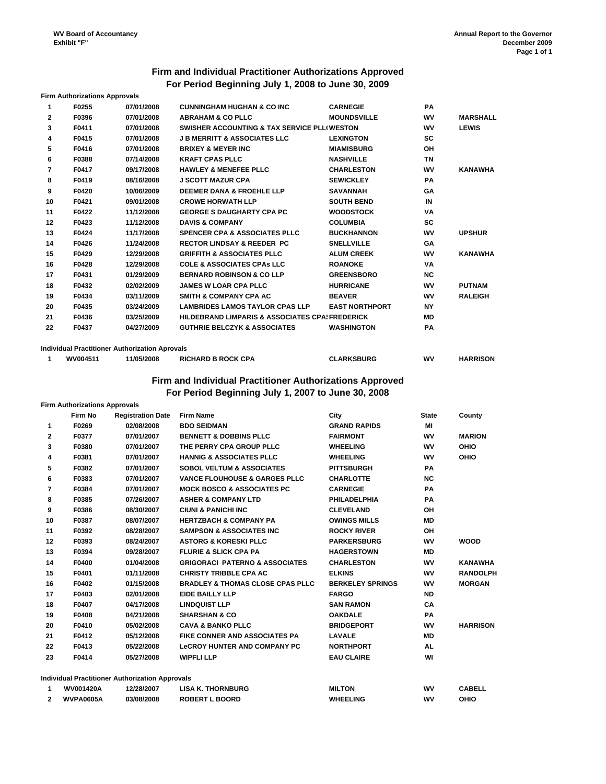# **Firm and Individual Practitioner Authorizations Approved For Period Beginning July 1, 2008 to June 30, 2009**

|              | <b>Firm Authorizations Approvals</b> |                                                       |                                                            |                       |           |                 |
|--------------|--------------------------------------|-------------------------------------------------------|------------------------------------------------------------|-----------------------|-----------|-----------------|
| 1            | F0255                                | 07/01/2008                                            | <b>CUNNINGHAM HUGHAN &amp; CO INC</b>                      | <b>CARNEGIE</b>       | <b>PA</b> |                 |
| $\mathbf{2}$ | F0396                                | 07/01/2008                                            | <b>ABRAHAM &amp; CO PLLC</b>                               | <b>MOUNDSVILLE</b>    | WV        | <b>MARSHALL</b> |
| 3            | F0411                                | 07/01/2008                                            | SWISHER ACCOUNTING & TAX SERVICE PLL(WESTON                |                       | WV        | <b>LEWIS</b>    |
| 4            | F0415                                | 07/01/2008                                            | <b>J B MERRITT &amp; ASSOCIATES LLC</b>                    | <b>LEXINGTON</b>      | <b>SC</b> |                 |
| 5            | F0416                                | 07/01/2008                                            | <b>BRIXEY &amp; MEYER INC</b>                              | <b>MIAMISBURG</b>     | OH        |                 |
| 6            | F0388                                | 07/14/2008                                            | <b>KRAFT CPAS PLLC</b>                                     | <b>NASHVILLE</b>      | TN        |                 |
| 7            | F0417                                | 09/17/2008                                            | <b>HAWLEY &amp; MENEFEE PLLC</b>                           | <b>CHARLESTON</b>     | WV        | <b>KANAWHA</b>  |
| 8            | F0419                                | 08/16/2008                                            | <b>J SCOTT MAZUR CPA</b>                                   | <b>SEWICKLEY</b>      | <b>PA</b> |                 |
| 9            | F0420                                | 10/06/2009                                            | <b>DEEMER DANA &amp; FROEHLE LLP</b>                       | <b>SAVANNAH</b>       | GΑ        |                 |
| 10           | F0421                                | 09/01/2008                                            | <b>CROWE HORWATH LLP</b>                                   | <b>SOUTH BEND</b>     | IN        |                 |
| 11           | F0422                                | 11/12/2008                                            | <b>GEORGE S DAUGHARTY CPA PC</b>                           | <b>WOODSTOCK</b>      | VA        |                 |
| 12           | F0423                                | 11/12/2008                                            | <b>DAVIS &amp; COMPANY</b>                                 | <b>COLUMBIA</b>       | <b>SC</b> |                 |
| 13           | F0424                                | 11/17/2008                                            | <b>SPENCER CPA &amp; ASSOCIATES PLLC</b>                   | <b>BUCKHANNON</b>     | WV        | <b>UPSHUR</b>   |
| 14           | F0426                                | 11/24/2008                                            | <b>RECTOR LINDSAY &amp; REEDER PC</b>                      | <b>SNELLVILLE</b>     | GΑ        |                 |
| 15           | F0429                                | 12/29/2008                                            | <b>GRIFFITH &amp; ASSOCIATES PLLC</b>                      | <b>ALUM CREEK</b>     | WV        | <b>KANAWHA</b>  |
| 16           | F0428                                | 12/29/2008                                            | <b>COLE &amp; ASSOCIATES CPAS LLC</b>                      | <b>ROANOKE</b>        | VA        |                 |
| 17           | F0431                                | 01/29/2009                                            | <b>BERNARD ROBINSON &amp; CO LLP</b>                       | <b>GREENSBORO</b>     | <b>NC</b> |                 |
| 18           | F0432                                | 02/02/2009                                            | <b>JAMES W LOAR CPA PLLC</b>                               | <b>HURRICANE</b>      | WV        | <b>PUTNAM</b>   |
| 19           | F0434                                | 03/11/2009                                            | <b>SMITH &amp; COMPANY CPA AC</b>                          | <b>BEAVER</b>         | WV        | <b>RALEIGH</b>  |
| 20           | F0435                                | 03/24/2009                                            | <b>LAMBRIDES LAMOS TAYLOR CPAS LLP</b>                     | <b>EAST NORTHPORT</b> | <b>NY</b> |                 |
| 21           | F0436                                | 03/25/2009                                            | <b>HILDEBRAND LIMPARIS &amp; ASSOCIATES CPA! FREDERICK</b> |                       | MD        |                 |
| 22           | F0437                                | 04/27/2009                                            | <b>GUTHRIE BELCZYK &amp; ASSOCIATES</b>                    | <b>WASHINGTON</b>     | <b>PA</b> |                 |
|              |                                      |                                                       |                                                            |                       |           |                 |
|              |                                      | <b>Individual Practitioner Authorization Aprovals</b> |                                                            |                       |           |                 |

# **1 WV004511 11/05/2008 RICHARD B ROCK CPA CLARKSBURG WV HARRISON Firm and Individual Practitioner Authorizations Approved**

**For Period Beginning July 1, 2007 to June 30, 2008**

| <b>Registration Date</b><br><b>Firm Name</b><br><b>BDO SEIDMAN</b><br><b>BENNETT &amp; DOBBINS PLLC</b><br>THE PERRY CPA GROUP PLLC<br><b>HANNIG &amp; ASSOCIATES PLLC</b><br><b>SOBOL VELTUM &amp; ASSOCIATES</b><br><b>VANCE FLOUHOUSE &amp; GARGES PLLC</b><br><b>MOCK BOSCO &amp; ASSOCIATES PC</b><br><b>ASHER &amp; COMPANY LTD</b><br><b>CIUNI &amp; PANICHI INC</b><br><b>HERTZBACH &amp; COMPANY PA</b><br><b>SAMPSON &amp; ASSOCIATES INC</b><br><b>ASTORG &amp; KORESKI PLLC</b> | City<br><b>GRAND RAPIDS</b><br><b>FAIRMONT</b><br><b>WHEELING</b><br><b>WHEELING</b><br><b>PITTSBURGH</b><br><b>CHARLOTTE</b><br><b>CARNEGIE</b><br><b>PHILADELPHIA</b><br><b>CLEVELAND</b><br><b>OWINGS MILLS</b><br><b>ROCKY RIVER</b><br><b>PARKERSBURG</b> | <b>State</b><br>MI<br>WV<br><b>WV</b><br><b>WV</b><br><b>PA</b><br><b>NC</b><br>PA<br>PA<br>OH<br>MD<br>OH<br><b>WV</b> | County<br><b>MARION</b><br>OHIO<br>OHIO |
|---------------------------------------------------------------------------------------------------------------------------------------------------------------------------------------------------------------------------------------------------------------------------------------------------------------------------------------------------------------------------------------------------------------------------------------------------------------------------------------------|----------------------------------------------------------------------------------------------------------------------------------------------------------------------------------------------------------------------------------------------------------------|-------------------------------------------------------------------------------------------------------------------------|-----------------------------------------|
|                                                                                                                                                                                                                                                                                                                                                                                                                                                                                             |                                                                                                                                                                                                                                                                |                                                                                                                         |                                         |
|                                                                                                                                                                                                                                                                                                                                                                                                                                                                                             |                                                                                                                                                                                                                                                                |                                                                                                                         |                                         |
|                                                                                                                                                                                                                                                                                                                                                                                                                                                                                             |                                                                                                                                                                                                                                                                |                                                                                                                         |                                         |
|                                                                                                                                                                                                                                                                                                                                                                                                                                                                                             |                                                                                                                                                                                                                                                                |                                                                                                                         |                                         |
|                                                                                                                                                                                                                                                                                                                                                                                                                                                                                             |                                                                                                                                                                                                                                                                |                                                                                                                         |                                         |
|                                                                                                                                                                                                                                                                                                                                                                                                                                                                                             |                                                                                                                                                                                                                                                                |                                                                                                                         |                                         |
|                                                                                                                                                                                                                                                                                                                                                                                                                                                                                             |                                                                                                                                                                                                                                                                |                                                                                                                         |                                         |
|                                                                                                                                                                                                                                                                                                                                                                                                                                                                                             |                                                                                                                                                                                                                                                                |                                                                                                                         |                                         |
|                                                                                                                                                                                                                                                                                                                                                                                                                                                                                             |                                                                                                                                                                                                                                                                |                                                                                                                         |                                         |
|                                                                                                                                                                                                                                                                                                                                                                                                                                                                                             |                                                                                                                                                                                                                                                                |                                                                                                                         |                                         |
|                                                                                                                                                                                                                                                                                                                                                                                                                                                                                             |                                                                                                                                                                                                                                                                |                                                                                                                         |                                         |
|                                                                                                                                                                                                                                                                                                                                                                                                                                                                                             |                                                                                                                                                                                                                                                                |                                                                                                                         |                                         |
|                                                                                                                                                                                                                                                                                                                                                                                                                                                                                             |                                                                                                                                                                                                                                                                |                                                                                                                         | <b>WOOD</b>                             |
| <b>FLURIE &amp; SLICK CPA PA</b>                                                                                                                                                                                                                                                                                                                                                                                                                                                            | <b>HAGERSTOWN</b>                                                                                                                                                                                                                                              | MD                                                                                                                      |                                         |
| <b>GRIGORACI PATERNO &amp; ASSOCIATES</b>                                                                                                                                                                                                                                                                                                                                                                                                                                                   | <b>CHARLESTON</b>                                                                                                                                                                                                                                              | <b>WV</b>                                                                                                               | <b>KANAWHA</b>                          |
| <b>CHRISTY TRIBBLE CPA AC</b>                                                                                                                                                                                                                                                                                                                                                                                                                                                               | <b>ELKINS</b>                                                                                                                                                                                                                                                  | WV                                                                                                                      | <b>RANDOLPH</b>                         |
| <b>BRADLEY &amp; THOMAS CLOSE CPAS PLLC</b>                                                                                                                                                                                                                                                                                                                                                                                                                                                 | <b>BERKELEY SPRINGS</b>                                                                                                                                                                                                                                        | <b>WV</b>                                                                                                               | <b>MORGAN</b>                           |
| <b>EIDE BAILLY LLP</b>                                                                                                                                                                                                                                                                                                                                                                                                                                                                      | <b>FARGO</b>                                                                                                                                                                                                                                                   | <b>ND</b>                                                                                                               |                                         |
| <b>LINDQUIST LLP</b>                                                                                                                                                                                                                                                                                                                                                                                                                                                                        | <b>SAN RAMON</b>                                                                                                                                                                                                                                               | CA                                                                                                                      |                                         |
| <b>SHARSHAN &amp; CO</b>                                                                                                                                                                                                                                                                                                                                                                                                                                                                    | <b>OAKDALE</b>                                                                                                                                                                                                                                                 | PA                                                                                                                      |                                         |
| <b>CAVA &amp; BANKO PLLC</b>                                                                                                                                                                                                                                                                                                                                                                                                                                                                | <b>BRIDGEPORT</b>                                                                                                                                                                                                                                              | <b>WV</b>                                                                                                               | <b>HARRISON</b>                         |
| <b>FIKE CONNER AND ASSOCIATES PA</b>                                                                                                                                                                                                                                                                                                                                                                                                                                                        | <b>LAVALE</b>                                                                                                                                                                                                                                                  | MD                                                                                                                      |                                         |
| <b>LeCROY HUNTER AND COMPANY PC</b>                                                                                                                                                                                                                                                                                                                                                                                                                                                         | <b>NORTHPORT</b>                                                                                                                                                                                                                                               | AL                                                                                                                      |                                         |
|                                                                                                                                                                                                                                                                                                                                                                                                                                                                                             | <b>EAU CLAIRE</b>                                                                                                                                                                                                                                              | WI                                                                                                                      |                                         |
|                                                                                                                                                                                                                                                                                                                                                                                                                                                                                             | <b>WIPFLI LLP</b>                                                                                                                                                                                                                                              |                                                                                                                         |                                         |

|        | <b>WV001420A</b> | 2/28/2007  | <b>LISA K. THORNBURG</b> | <b>MILTON</b>   | W٧ | <b>CABELL</b> |
|--------|------------------|------------|--------------------------|-----------------|----|---------------|
| $\sim$ | <b>WVPA0605A</b> | 03/08/2008 | <b>ROBERT L BOORD</b>    | <b>WHEELING</b> | w۱ | оніс          |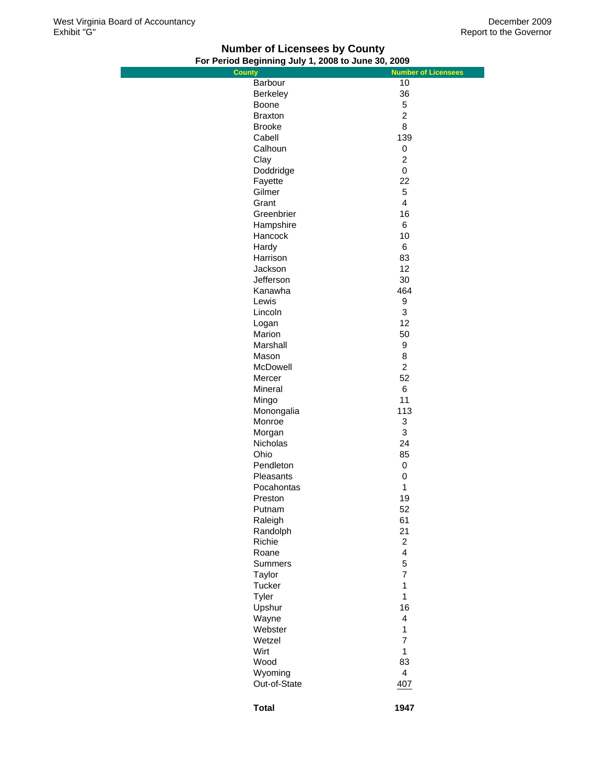# **Number of Licensees by County For Period Beginning July 1, 2008 to June 30, 2009**

| $\overline{1}$ or $\overline{1}$ errod beginning Jury 1, 2000 to June Jo, 2003 |                            |
|--------------------------------------------------------------------------------|----------------------------|
| <b>County</b>                                                                  | <b>Number of Licensees</b> |
| Barbour                                                                        | 10                         |
| Berkeley                                                                       | 36                         |
| Boone                                                                          | 5                          |
| <b>Braxton</b>                                                                 | $\overline{2}$             |
| <b>Brooke</b>                                                                  | 8                          |
| Cabell                                                                         | 139                        |
|                                                                                |                            |
| Calhoun                                                                        | $\mathsf 0$                |
| Clay                                                                           | $\overline{c}$             |
| Doddridge                                                                      | 0                          |
| Fayette                                                                        | 22                         |
| Gilmer                                                                         | 5                          |
| Grant                                                                          | $\overline{\mathbf{4}}$    |
| Greenbrier                                                                     | 16                         |
| Hampshire                                                                      | 6                          |
|                                                                                |                            |
| Hancock                                                                        | 10                         |
| Hardy                                                                          | 6                          |
| Harrison                                                                       | 83                         |
| Jackson                                                                        | 12                         |
| Jefferson                                                                      | 30                         |
| Kanawha                                                                        | 464                        |
| Lewis                                                                          | 9                          |
| Lincoln                                                                        | 3                          |
|                                                                                |                            |
| Logan                                                                          | 12                         |
| Marion                                                                         | 50                         |
| Marshall                                                                       | 9                          |
| Mason                                                                          | 8                          |
| McDowell                                                                       | $\overline{c}$             |
| Mercer                                                                         | 52                         |
| Mineral                                                                        | 6                          |
| Mingo                                                                          | 11                         |
| Monongalia                                                                     | 113                        |
|                                                                                |                            |
| Monroe                                                                         | 3                          |
| Morgan                                                                         | 3                          |
| Nicholas                                                                       | 24                         |
| Ohio                                                                           | 85                         |
| Pendleton                                                                      | 0                          |
| Pleasants                                                                      | 0                          |
| Pocahontas                                                                     | 1                          |
| Preston                                                                        | 19                         |
|                                                                                |                            |
| Putnam                                                                         | 52<br>61                   |
| Raleigh                                                                        |                            |
| Randolph                                                                       | 21                         |
| Richie                                                                         | $\overline{c}$             |
| Roane                                                                          | 4                          |
| <b>Summers</b>                                                                 | 5                          |
| Taylor                                                                         | $\overline{7}$             |
| Tucker                                                                         | 1                          |
| Tyler                                                                          | $\mathbf{1}$               |
| Upshur                                                                         | 16                         |
|                                                                                |                            |
| Wayne                                                                          | $\overline{\mathbf{4}}$    |
| Webster                                                                        | $\mathbf{1}$               |
| Wetzel                                                                         | $\overline{7}$             |
| Wirt                                                                           | $\mathbf{1}$               |
| Wood                                                                           | 83                         |
| Wyoming                                                                        | $\overline{\mathbf{4}}$    |
| Out-of-State                                                                   | 40Z                        |
|                                                                                |                            |
|                                                                                |                            |
| <b>Total</b>                                                                   | 1947                       |